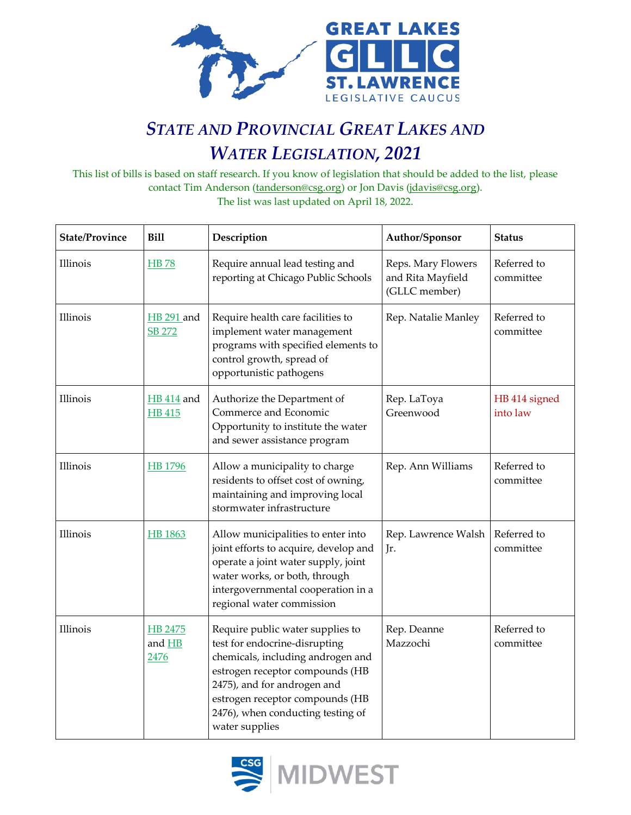

## *STATE AND PROVINCIAL GREAT LAKES AND WATER LEGISLATION, 2021*

This list of bills is based on staff research. If you know of legislation that should be added to the list, please contact Tim Anderson [\(tanderson@csg.org\)](mailto:tanderson@csg.org) or Jon Davis [\(jdavis@csg.org\)](mailto:jdavis@csg.org). The list was last updated on April 18, 2022.

| <b>State/Province</b> | <b>Bill</b>                        | Description                                                                                                                                                                                                                                                        | Author/Sponsor                                           | <b>Status</b>             |
|-----------------------|------------------------------------|--------------------------------------------------------------------------------------------------------------------------------------------------------------------------------------------------------------------------------------------------------------------|----------------------------------------------------------|---------------------------|
| Illinois              | <b>HB78</b>                        | Require annual lead testing and<br>reporting at Chicago Public Schools                                                                                                                                                                                             | Reps. Mary Flowers<br>and Rita Mayfield<br>(GLLC member) | Referred to<br>committee  |
| Illinois              | <b>HB</b> 291 and<br>SB 272        | Require health care facilities to<br>implement water management<br>programs with specified elements to<br>control growth, spread of<br>opportunistic pathogens                                                                                                     | Rep. Natalie Manley                                      | Referred to<br>committee  |
| Illinois              | <b>HB</b> 414 and<br><b>HB</b> 415 | Authorize the Department of<br>Commerce and Economic<br>Opportunity to institute the water<br>and sewer assistance program                                                                                                                                         | Rep. LaToya<br>Greenwood                                 | HB 414 signed<br>into law |
| Illinois              | <b>HB</b> 1796                     | Allow a municipality to charge<br>residents to offset cost of owning,<br>maintaining and improving local<br>stormwater infrastructure                                                                                                                              | Rep. Ann Williams                                        | Referred to<br>committee  |
| Illinois              | <b>HB</b> 1863                     | Allow municipalities to enter into<br>joint efforts to acquire, develop and<br>operate a joint water supply, joint<br>water works, or both, through<br>intergovernmental cooperation in a<br>regional water commission                                             | Rep. Lawrence Walsh<br>Jr.                               | Referred to<br>committee  |
| Illinois              | HB 2475<br>and HB<br>2476          | Require public water supplies to<br>test for endocrine-disrupting<br>chemicals, including androgen and<br>estrogen receptor compounds (HB<br>2475), and for androgen and<br>estrogen receptor compounds (HB<br>2476), when conducting testing of<br>water supplies | Rep. Deanne<br>Mazzochi                                  | Referred to<br>committee  |

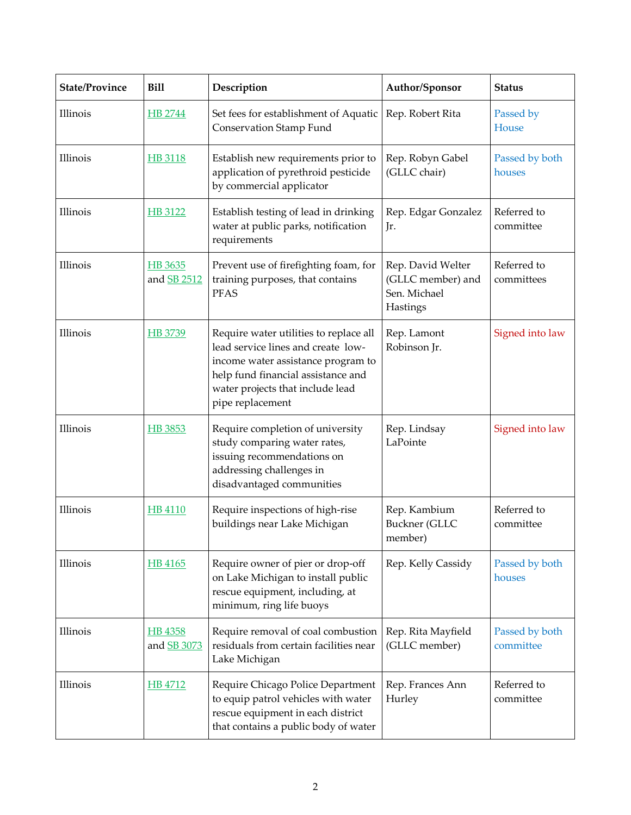| <b>State/Province</b> | <b>Bill</b>            | Description                                                                                                                                                                                                      | Author/Sponsor                                                     | <b>Status</b>               |
|-----------------------|------------------------|------------------------------------------------------------------------------------------------------------------------------------------------------------------------------------------------------------------|--------------------------------------------------------------------|-----------------------------|
| Illinois              | HB 2744                | Set fees for establishment of Aquatic<br><b>Conservation Stamp Fund</b>                                                                                                                                          | Rep. Robert Rita                                                   | Passed by<br>House          |
| Illinois              | HB 3118                | Establish new requirements prior to<br>application of pyrethroid pesticide<br>by commercial applicator                                                                                                           | Rep. Robyn Gabel<br>(GLLC chair)                                   | Passed by both<br>houses    |
| Illinois              | HB 3122                | Establish testing of lead in drinking<br>water at public parks, notification<br>requirements                                                                                                                     | Rep. Edgar Gonzalez<br>Jr.                                         | Referred to<br>committee    |
| Illinois              | HB 3635<br>and SB 2512 | Prevent use of firefighting foam, for<br>training purposes, that contains<br><b>PFAS</b>                                                                                                                         | Rep. David Welter<br>(GLLC member) and<br>Sen. Michael<br>Hastings | Referred to<br>committees   |
| Illinois              | HB 3739                | Require water utilities to replace all<br>lead service lines and create low-<br>income water assistance program to<br>help fund financial assistance and<br>water projects that include lead<br>pipe replacement | Rep. Lamont<br>Robinson Jr.                                        | Signed into law             |
| Illinois              | HB 3853                | Require completion of university<br>study comparing water rates,<br>issuing recommendations on<br>addressing challenges in<br>disadvantaged communities                                                          | Rep. Lindsay<br>LaPointe                                           | Signed into law             |
| Illinois              | <b>HB 4110</b>         | Require inspections of high-rise<br>buildings near Lake Michigan                                                                                                                                                 | Rep. Kambium<br><b>Buckner</b> (GLLC<br>member)                    | Referred to<br>committee    |
| Illinois              | HB 4165                | Require owner of pier or drop-off<br>on Lake Michigan to install public<br>rescue equipment, including, at<br>minimum, ring life buoys                                                                           | Rep. Kelly Cassidy                                                 | Passed by both<br>houses    |
| Illinois              | HB 4358<br>and SB 3073 | Require removal of coal combustion<br>residuals from certain facilities near<br>Lake Michigan                                                                                                                    | Rep. Rita Mayfield<br>(GLLC member)                                | Passed by both<br>committee |
| Illinois              | HB 4712                | Require Chicago Police Department<br>to equip patrol vehicles with water<br>rescue equipment in each district<br>that contains a public body of water                                                            | Rep. Frances Ann<br>Hurley                                         | Referred to<br>committee    |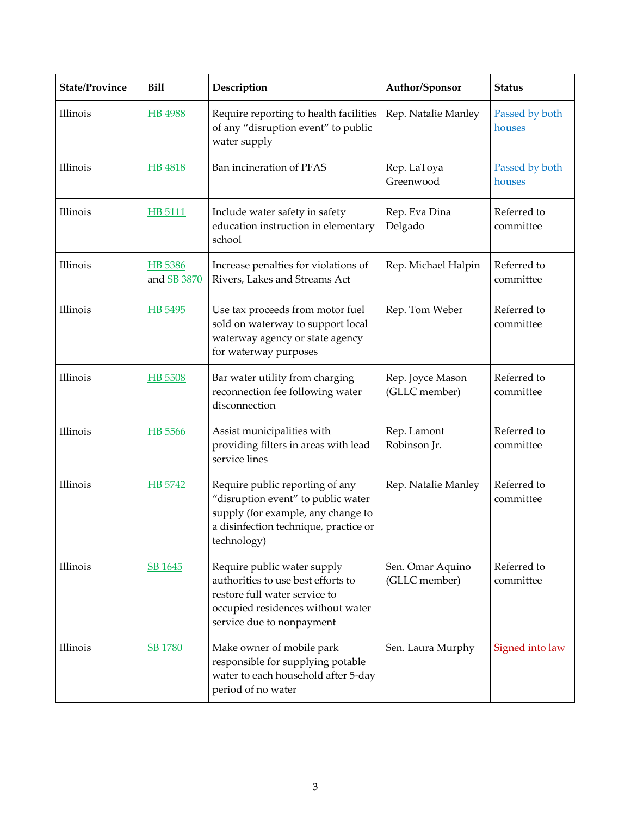| <b>State/Province</b> | <b>Bill</b>                   | Description                                                                                                                                                          | Author/Sponsor                    | <b>Status</b>            |
|-----------------------|-------------------------------|----------------------------------------------------------------------------------------------------------------------------------------------------------------------|-----------------------------------|--------------------------|
| Illinois              | HB 4988                       | Require reporting to health facilities<br>of any "disruption event" to public<br>water supply                                                                        | Rep. Natalie Manley               | Passed by both<br>houses |
| Illinois              | HB 4818                       | Ban incineration of PFAS                                                                                                                                             | Rep. LaToya<br>Greenwood          | Passed by both<br>houses |
| Illinois              | HB 5111                       | Include water safety in safety<br>education instruction in elementary<br>school                                                                                      | Rep. Eva Dina<br>Delgado          | Referred to<br>committee |
| Illinois              | HB 5386<br>and <b>SB 3870</b> | Increase penalties for violations of<br>Rivers, Lakes and Streams Act                                                                                                | Rep. Michael Halpin               | Referred to<br>committee |
| Illinois              | HB 5495                       | Use tax proceeds from motor fuel<br>sold on waterway to support local<br>waterway agency or state agency<br>for waterway purposes                                    | Rep. Tom Weber                    | Referred to<br>committee |
| Illinois              | HB 5508                       | Bar water utility from charging<br>reconnection fee following water<br>disconnection                                                                                 | Rep. Joyce Mason<br>(GLLC member) | Referred to<br>committee |
| Illinois              | HB 5566                       | Assist municipalities with<br>providing filters in areas with lead<br>service lines                                                                                  | Rep. Lamont<br>Robinson Jr.       | Referred to<br>committee |
| Illinois              | HB 5742                       | Require public reporting of any<br>"disruption event" to public water<br>supply (for example, any change to<br>a disinfection technique, practice or<br>technology)  | Rep. Natalie Manley               | Referred to<br>committee |
| Illinois              | SB 1645                       | Require public water supply<br>authorities to use best efforts to<br>restore full water service to<br>occupied residences without water<br>service due to nonpayment | Sen. Omar Aquino<br>(GLLC member) | Referred to<br>committee |
| Illinois              | <b>SB 1780</b>                | Make owner of mobile park<br>responsible for supplying potable<br>water to each household after 5-day<br>period of no water                                          | Sen. Laura Murphy                 | Signed into law          |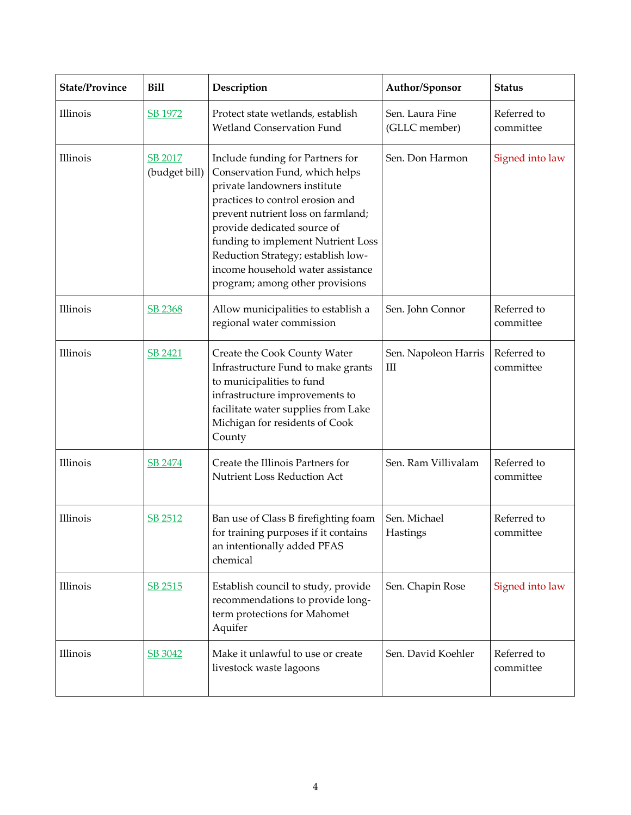| <b>State/Province</b> | <b>Bill</b>                     | Description                                                                                                                                                                                                                                                                                                                                                     | Author/Sponsor                   | <b>Status</b>            |
|-----------------------|---------------------------------|-----------------------------------------------------------------------------------------------------------------------------------------------------------------------------------------------------------------------------------------------------------------------------------------------------------------------------------------------------------------|----------------------------------|--------------------------|
| Illinois              | SB 1972                         | Protect state wetlands, establish<br><b>Wetland Conservation Fund</b>                                                                                                                                                                                                                                                                                           | Sen. Laura Fine<br>(GLLC member) | Referred to<br>committee |
| Illinois              | <b>SB 2017</b><br>(budget bill) | Include funding for Partners for<br>Conservation Fund, which helps<br>private landowners institute<br>practices to control erosion and<br>prevent nutrient loss on farmland;<br>provide dedicated source of<br>funding to implement Nutrient Loss<br>Reduction Strategy; establish low-<br>income household water assistance<br>program; among other provisions | Sen. Don Harmon                  | Signed into law          |
| Illinois              | SB 2368                         | Allow municipalities to establish a<br>regional water commission                                                                                                                                                                                                                                                                                                | Sen. John Connor                 | Referred to<br>committee |
| Illinois              | SB 2421                         | Create the Cook County Water<br>Infrastructure Fund to make grants<br>to municipalities to fund<br>infrastructure improvements to<br>facilitate water supplies from Lake<br>Michigan for residents of Cook<br>County                                                                                                                                            | Sen. Napoleon Harris<br>Ш        | Referred to<br>committee |
| Illinois              | SB 2474                         | Create the Illinois Partners for<br>Nutrient Loss Reduction Act                                                                                                                                                                                                                                                                                                 | Sen. Ram Villivalam              | Referred to<br>committee |
| Illinois              | SB 2512                         | Ban use of Class B firefighting foam<br>for training purposes if it contains<br>an intentionally added PFAS<br>chemical                                                                                                                                                                                                                                         | Sen. Michael<br>Hastings         | Referred to<br>committee |
| Illinois              | SB 2515                         | Establish council to study, provide<br>recommendations to provide long-<br>term protections for Mahomet<br>Aquifer                                                                                                                                                                                                                                              | Sen. Chapin Rose                 | Signed into law          |
| Illinois              | SB 3042                         | Make it unlawful to use or create<br>livestock waste lagoons                                                                                                                                                                                                                                                                                                    | Sen. David Koehler               | Referred to<br>committee |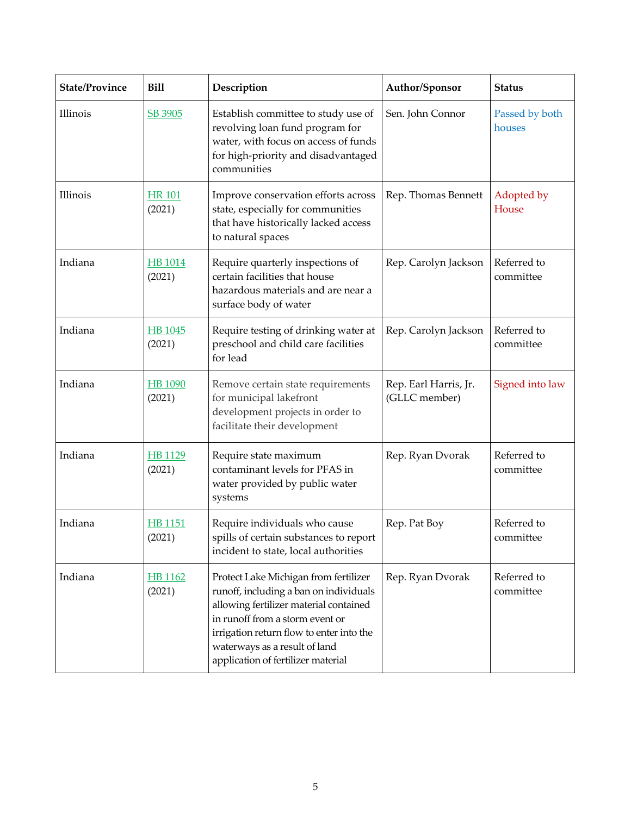| <b>State/Province</b> | <b>Bill</b>              | Description                                                                                                                                                                                                                                                                     | Author/Sponsor                         | <b>Status</b>            |
|-----------------------|--------------------------|---------------------------------------------------------------------------------------------------------------------------------------------------------------------------------------------------------------------------------------------------------------------------------|----------------------------------------|--------------------------|
| Illinois              | SB 3905                  | Establish committee to study use of<br>revolving loan fund program for<br>water, with focus on access of funds<br>for high-priority and disadvantaged<br>communities                                                                                                            | Sen. John Connor                       | Passed by both<br>houses |
| Illinois              | <b>HR 101</b><br>(2021)  | Improve conservation efforts across<br>state, especially for communities<br>that have historically lacked access<br>to natural spaces                                                                                                                                           | Rep. Thomas Bennett                    | Adopted by<br>House      |
| Indiana               | <b>HB</b> 1014<br>(2021) | Require quarterly inspections of<br>certain facilities that house<br>hazardous materials and are near a<br>surface body of water                                                                                                                                                | Rep. Carolyn Jackson                   | Referred to<br>committee |
| Indiana               | HB 1045<br>(2021)        | Require testing of drinking water at<br>preschool and child care facilities<br>for lead                                                                                                                                                                                         | Rep. Carolyn Jackson                   | Referred to<br>committee |
| Indiana               | <b>HB</b> 1090<br>(2021) | Remove certain state requirements<br>for municipal lakefront<br>development projects in order to<br>facilitate their development                                                                                                                                                | Rep. Earl Harris, Jr.<br>(GLLC member) | Signed into law          |
| Indiana               | HB 1129<br>(2021)        | Require state maximum<br>contaminant levels for PFAS in<br>water provided by public water<br>systems                                                                                                                                                                            | Rep. Ryan Dvorak                       | Referred to<br>committee |
| Indiana               | <u>HB 1151</u><br>(2021) | Require individuals who cause<br>spills of certain substances to report<br>incident to state, local authorities                                                                                                                                                                 | Rep. Pat Boy                           | Referred to<br>committee |
| Indiana               | HB 1162<br>(2021)        | Protect Lake Michigan from fertilizer<br>runoff, including a ban on individuals<br>allowing fertilizer material contained<br>in runoff from a storm event or<br>irrigation return flow to enter into the<br>waterways as a result of land<br>application of fertilizer material | Rep. Ryan Dvorak                       | Referred to<br>committee |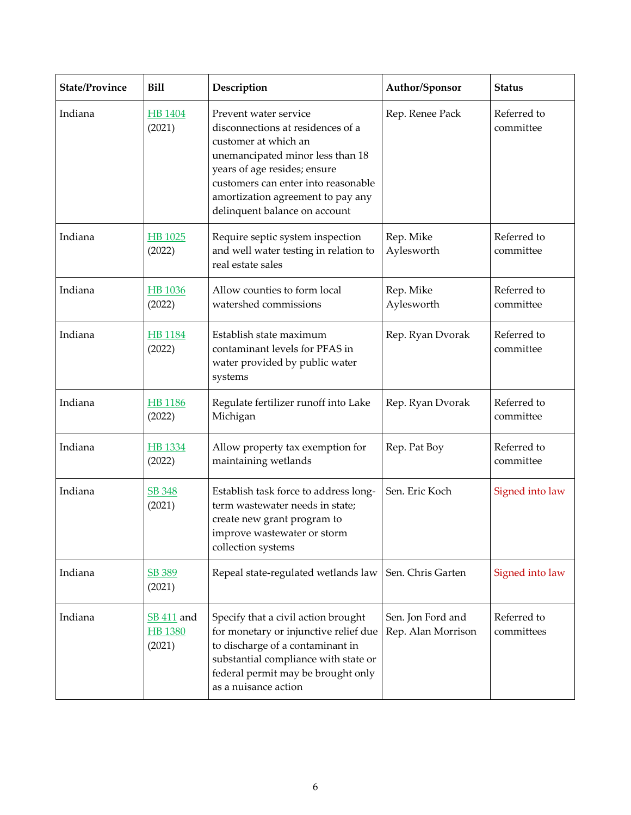| <b>State/Province</b> | <b>Bill</b>                                   | Description                                                                                                                                                                                                                                                         | Author/Sponsor                          | <b>Status</b>             |
|-----------------------|-----------------------------------------------|---------------------------------------------------------------------------------------------------------------------------------------------------------------------------------------------------------------------------------------------------------------------|-----------------------------------------|---------------------------|
| Indiana               | HB 1404<br>(2021)                             | Prevent water service<br>disconnections at residences of a<br>customer at which an<br>unemancipated minor less than 18<br>years of age resides; ensure<br>customers can enter into reasonable<br>amortization agreement to pay any<br>delinquent balance on account | Rep. Renee Pack                         | Referred to<br>committee  |
| Indiana               | HB 1025<br>(2022)                             | Require septic system inspection<br>and well water testing in relation to<br>real estate sales                                                                                                                                                                      | Rep. Mike<br>Aylesworth                 | Referred to<br>committee  |
| Indiana               | <b>HB</b> 1036<br>(2022)                      | Allow counties to form local<br>watershed commissions                                                                                                                                                                                                               | Rep. Mike<br>Aylesworth                 | Referred to<br>committee  |
| Indiana               | <b>HB</b> 1184<br>(2022)                      | Establish state maximum<br>contaminant levels for PFAS in<br>water provided by public water<br>systems                                                                                                                                                              | Rep. Ryan Dvorak                        | Referred to<br>committee  |
| Indiana               | <b>HB</b> 1186<br>(2022)                      | Regulate fertilizer runoff into Lake<br>Michigan                                                                                                                                                                                                                    | Rep. Ryan Dvorak                        | Referred to<br>committee  |
| Indiana               | HB 1334<br>(2022)                             | Allow property tax exemption for<br>maintaining wetlands                                                                                                                                                                                                            | Rep. Pat Boy                            | Referred to<br>committee  |
| Indiana               | SB 348<br>(2021)                              | Establish task force to address long-<br>term wastewater needs in state;<br>create new grant program to<br>improve wastewater or storm<br>collection systems                                                                                                        | Sen. Eric Koch                          | Signed into law           |
| Indiana               | <b>SB 389</b><br>(2021)                       | Repeal state-regulated wetlands law                                                                                                                                                                                                                                 | Sen. Chris Garten                       | Signed into law           |
| Indiana               | <b>SB 411</b> and<br><b>HB</b> 1380<br>(2021) | Specify that a civil action brought<br>for monetary or injunctive relief due<br>to discharge of a contaminant in<br>substantial compliance with state or<br>federal permit may be brought only<br>as a nuisance action                                              | Sen. Jon Ford and<br>Rep. Alan Morrison | Referred to<br>committees |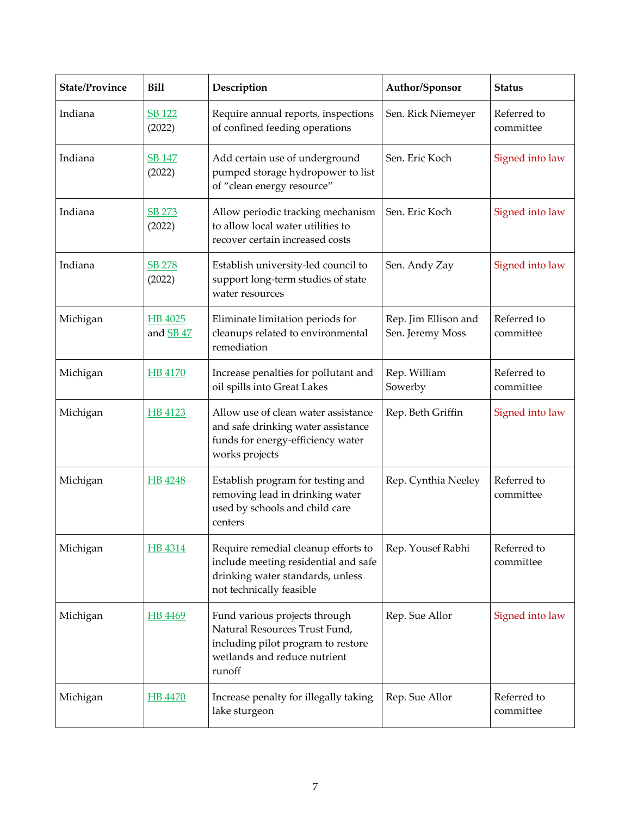| <b>State/Province</b> | <b>Bill</b>             | Description                                                                                                                                    | Author/Sponsor                           | <b>Status</b>            |
|-----------------------|-------------------------|------------------------------------------------------------------------------------------------------------------------------------------------|------------------------------------------|--------------------------|
| Indiana               | SB 122<br>(2022)        | Require annual reports, inspections<br>of confined feeding operations                                                                          | Sen. Rick Niemeyer                       | Referred to<br>committee |
| Indiana               | <b>SB 147</b><br>(2022) | Add certain use of underground<br>pumped storage hydropower to list<br>of "clean energy resource"                                              | Sen. Eric Koch                           | Signed into law          |
| Indiana               | SB 273<br>(2022)        | Allow periodic tracking mechanism<br>to allow local water utilities to<br>recover certain increased costs                                      | Sen. Eric Koch                           | Signed into law          |
| Indiana               | <b>SB 278</b><br>(2022) | Establish university-led council to<br>support long-term studies of state<br>water resources                                                   | Sen. Andy Zay                            | Signed into law          |
| Michigan              | HB 4025<br>and SB 47    | Eliminate limitation periods for<br>cleanups related to environmental<br>remediation                                                           | Rep. Jim Ellison and<br>Sen. Jeremy Moss | Referred to<br>committee |
| Michigan              | <b>HB 4170</b>          | Increase penalties for pollutant and<br>oil spills into Great Lakes                                                                            | Rep. William<br>Sowerby                  | Referred to<br>committee |
| Michigan              | HB 4123                 | Allow use of clean water assistance<br>and safe drinking water assistance<br>funds for energy-efficiency water<br>works projects               | Rep. Beth Griffin                        | Signed into law          |
| Michigan              | HB 4248                 | Establish program for testing and<br>removing lead in drinking water<br>used by schools and child care<br>centers                              | Rep. Cynthia Neeley                      | Referred to<br>committee |
| Michigan              | HB 4314                 | Require remedial cleanup efforts to<br>include meeting residential and safe<br>drinking water standards, unless<br>not technically feasible    | Rep. Yousef Rabhi                        | Referred to<br>committee |
| Michigan              | HB 4469                 | Fund various projects through<br>Natural Resources Trust Fund,<br>including pilot program to restore<br>wetlands and reduce nutrient<br>runoff | Rep. Sue Allor                           | Signed into law          |
| Michigan              | <b>HB 4470</b>          | Increase penalty for illegally taking<br>lake sturgeon                                                                                         | Rep. Sue Allor                           | Referred to<br>committee |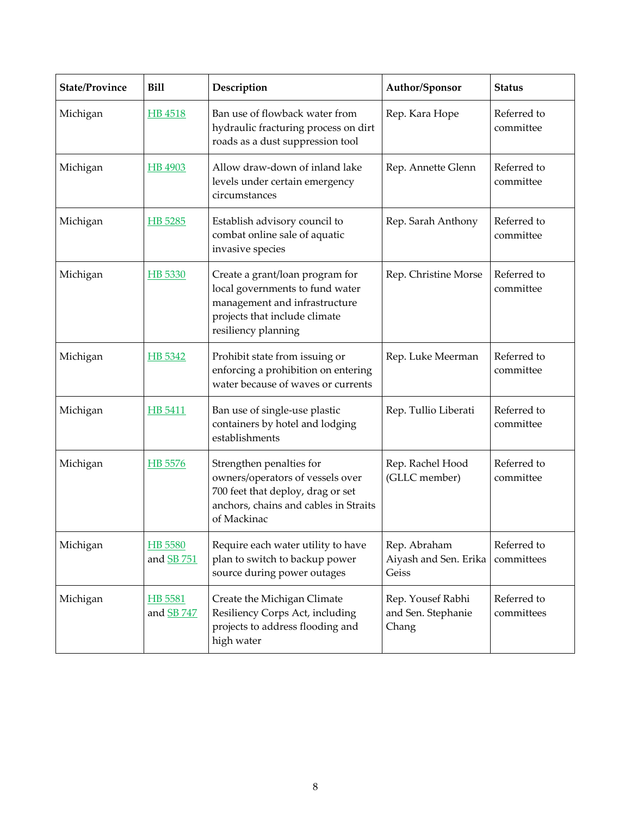| <b>State/Province</b> | <b>Bill</b>                         | Description                                                                                                                                                 | Author/Sponsor                                   | <b>Status</b>             |
|-----------------------|-------------------------------------|-------------------------------------------------------------------------------------------------------------------------------------------------------------|--------------------------------------------------|---------------------------|
| Michigan              | HB 4518                             | Ban use of flowback water from<br>hydraulic fracturing process on dirt<br>roads as a dust suppression tool                                                  | Rep. Kara Hope                                   | Referred to<br>committee  |
| Michigan              | HB 4903                             | Allow draw-down of inland lake<br>levels under certain emergency<br>circumstances                                                                           | Rep. Annette Glenn                               | Referred to<br>committee  |
| Michigan              | HB 5285                             | Establish advisory council to<br>combat online sale of aquatic<br>invasive species                                                                          | Rep. Sarah Anthony                               | Referred to<br>committee  |
| Michigan              | HB 5330                             | Create a grant/loan program for<br>local governments to fund water<br>management and infrastructure<br>projects that include climate<br>resiliency planning | Rep. Christine Morse                             | Referred to<br>committee  |
| Michigan              | HB 5342                             | Prohibit state from issuing or<br>enforcing a prohibition on entering<br>water because of waves or currents                                                 | Rep. Luke Meerman                                | Referred to<br>committee  |
| Michigan              | HB 5411                             | Ban use of single-use plastic<br>containers by hotel and lodging<br>establishments                                                                          | Rep. Tullio Liberati                             | Referred to<br>committee  |
| Michigan              | HB 5576                             | Strengthen penalties for<br>owners/operators of vessels over<br>700 feet that deploy, drag or set<br>anchors, chains and cables in Straits<br>of Mackinac   | Rep. Rachel Hood<br>(GLLC member)                | Referred to<br>committee  |
| Michigan              | <b>HB 5580</b><br>and <b>SB</b> 751 | Require each water utility to have<br>plan to switch to backup power<br>source during power outages                                                         | Rep. Abraham<br>Aiyash and Sen. Erika<br>Geiss   | Referred to<br>committees |
| Michigan              | HB 5581<br>and SB 747               | Create the Michigan Climate<br>Resiliency Corps Act, including<br>projects to address flooding and<br>high water                                            | Rep. Yousef Rabhi<br>and Sen. Stephanie<br>Chang | Referred to<br>committees |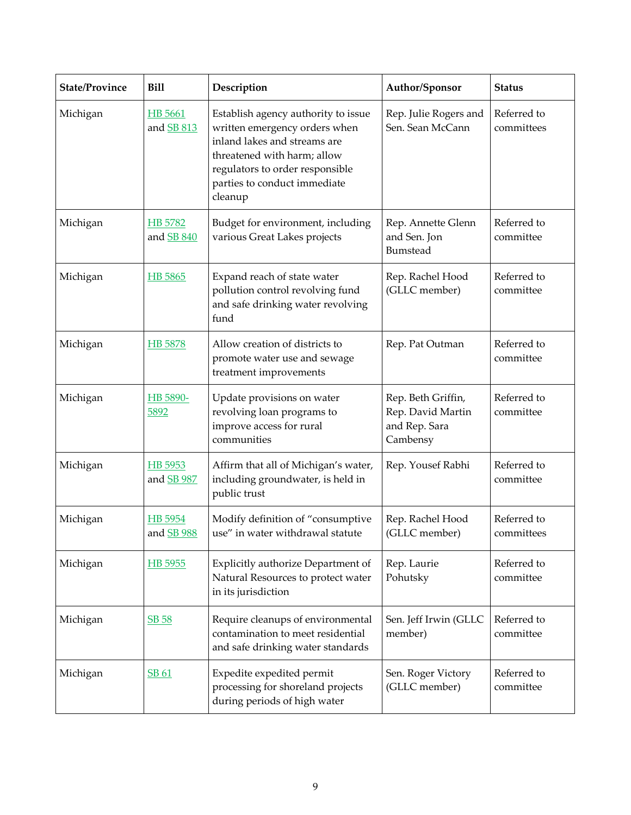| <b>State/Province</b> | <b>Bill</b>                  | Description                                                                                                                                                                                                       | Author/Sponsor                                                       | <b>Status</b>             |
|-----------------------|------------------------------|-------------------------------------------------------------------------------------------------------------------------------------------------------------------------------------------------------------------|----------------------------------------------------------------------|---------------------------|
| Michigan              | HB 5661<br>and SB 813        | Establish agency authority to issue<br>written emergency orders when<br>inland lakes and streams are<br>threatened with harm; allow<br>regulators to order responsible<br>parties to conduct immediate<br>cleanup | Rep. Julie Rogers and<br>Sen. Sean McCann                            | Referred to<br>committees |
| Michigan              | HB 5782<br>and <b>SB 840</b> | Budget for environment, including<br>various Great Lakes projects                                                                                                                                                 | Rep. Annette Glenn<br>and Sen. Jon<br>Bumstead                       | Referred to<br>committee  |
| Michigan              | HB 5865                      | Expand reach of state water<br>pollution control revolving fund<br>and safe drinking water revolving<br>fund                                                                                                      | Rep. Rachel Hood<br>(GLLC member)                                    | Referred to<br>committee  |
| Michigan              | HB 5878                      | Allow creation of districts to<br>promote water use and sewage<br>treatment improvements                                                                                                                          | Rep. Pat Outman                                                      | Referred to<br>committee  |
| Michigan              | HB 5890-<br>5892             | Update provisions on water<br>revolving loan programs to<br>improve access for rural<br>communities                                                                                                               | Rep. Beth Griffin,<br>Rep. David Martin<br>and Rep. Sara<br>Cambensy | Referred to<br>committee  |
| Michigan              | HB 5953<br>and <b>SB</b> 987 | Affirm that all of Michigan's water,<br>including groundwater, is held in<br>public trust                                                                                                                         | Rep. Yousef Rabhi                                                    | Referred to<br>committee  |
| Michigan              | HB 5954<br>and <b>SB</b> 988 | Modify definition of "consumptive<br>use" in water withdrawal statute                                                                                                                                             | Rep. Rachel Hood<br>(GLLC member)                                    | Referred to<br>committees |
| Michigan              | HB 5955                      | Explicitly authorize Department of<br>Natural Resources to protect water<br>in its jurisdiction                                                                                                                   | Rep. Laurie<br>Pohutsky                                              | Referred to<br>committee  |
| Michigan              | <b>SB 58</b>                 | Require cleanups of environmental<br>contamination to meet residential<br>and safe drinking water standards                                                                                                       | Sen. Jeff Irwin (GLLC<br>member)                                     | Referred to<br>committee  |
| Michigan              | SB 61                        | Expedite expedited permit<br>processing for shoreland projects<br>during periods of high water                                                                                                                    | Sen. Roger Victory<br>(GLLC member)                                  | Referred to<br>committee  |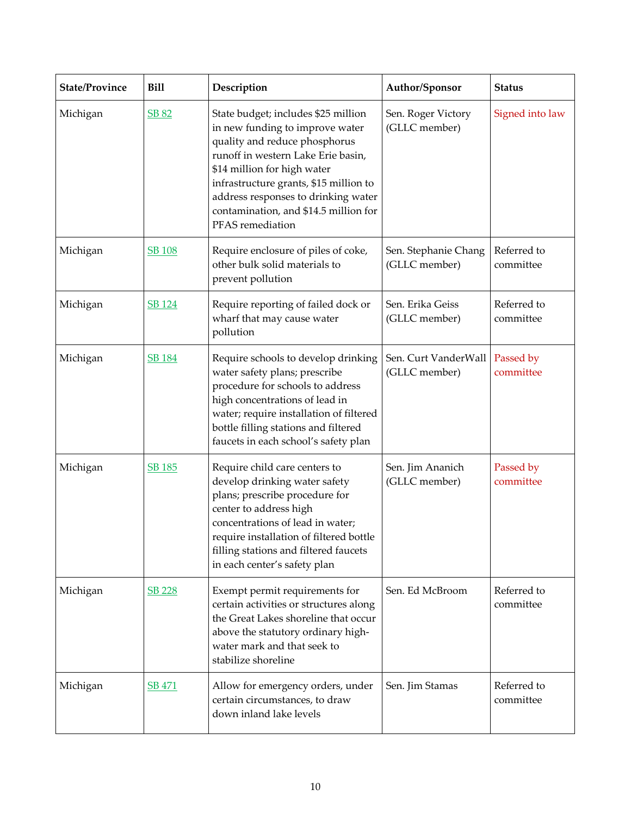| <b>State/Province</b> | <b>Bill</b>   | Description                                                                                                                                                                                                                                                                                                                | Author/Sponsor                        | <b>Status</b>            |
|-----------------------|---------------|----------------------------------------------------------------------------------------------------------------------------------------------------------------------------------------------------------------------------------------------------------------------------------------------------------------------------|---------------------------------------|--------------------------|
| Michigan              | <b>SB 82</b>  | State budget; includes \$25 million<br>in new funding to improve water<br>quality and reduce phosphorus<br>runoff in western Lake Erie basin,<br>\$14 million for high water<br>infrastructure grants, \$15 million to<br>address responses to drinking water<br>contamination, and \$14.5 million for<br>PFAS remediation | Sen. Roger Victory<br>(GLLC member)   | Signed into law          |
| Michigan              | <b>SB 108</b> | Require enclosure of piles of coke,<br>other bulk solid materials to<br>prevent pollution                                                                                                                                                                                                                                  | Sen. Stephanie Chang<br>(GLLC member) | Referred to<br>committee |
| Michigan              | <b>SB</b> 124 | Require reporting of failed dock or<br>wharf that may cause water<br>pollution                                                                                                                                                                                                                                             | Sen. Erika Geiss<br>(GLLC member)     | Referred to<br>committee |
| Michigan              | <b>SB 184</b> | Require schools to develop drinking<br>water safety plans; prescribe<br>procedure for schools to address<br>high concentrations of lead in<br>water; require installation of filtered<br>bottle filling stations and filtered<br>faucets in each school's safety plan                                                      | Sen. Curt VanderWall<br>(GLLC member) | Passed by<br>committee   |
| Michigan              | <b>SB 185</b> | Require child care centers to<br>develop drinking water safety<br>plans; prescribe procedure for<br>center to address high<br>concentrations of lead in water;<br>require installation of filtered bottle<br>filling stations and filtered faucets<br>in each center's safety plan                                         | Sen. Jim Ananich<br>(GLLC member)     | Passed by<br>committee   |
| Michigan              | <b>SB 228</b> | Exempt permit requirements for<br>certain activities or structures along<br>the Great Lakes shoreline that occur<br>above the statutory ordinary high-<br>water mark and that seek to<br>stabilize shoreline                                                                                                               | Sen. Ed McBroom                       | Referred to<br>committee |
| Michigan              | <b>SB 471</b> | Allow for emergency orders, under<br>certain circumstances, to draw<br>down inland lake levels                                                                                                                                                                                                                             | Sen. Jim Stamas                       | Referred to<br>committee |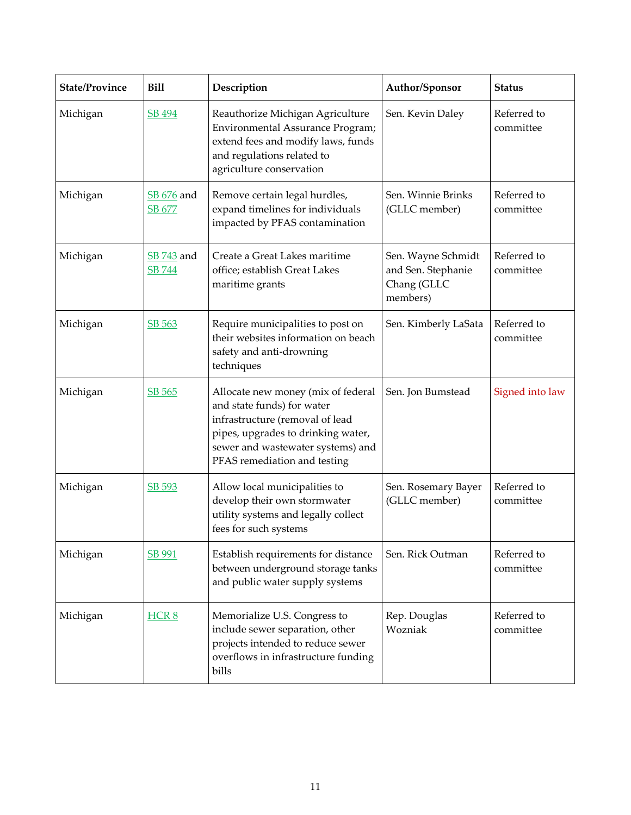| <b>State/Province</b> | <b>Bill</b>                 | Description                                                                                                                                                                                                    | Author/Sponsor                                                      | <b>Status</b>            |
|-----------------------|-----------------------------|----------------------------------------------------------------------------------------------------------------------------------------------------------------------------------------------------------------|---------------------------------------------------------------------|--------------------------|
| Michigan              | SB 494                      | Reauthorize Michigan Agriculture<br>Environmental Assurance Program;<br>extend fees and modify laws, funds<br>and regulations related to<br>agriculture conservation                                           | Sen. Kevin Daley                                                    | Referred to<br>committee |
| Michigan              | SB 676 and<br>SB 677        | Remove certain legal hurdles,<br>expand timelines for individuals<br>impacted by PFAS contamination                                                                                                            | Sen. Winnie Brinks<br>(GLLC member)                                 | Referred to<br>committee |
| Michigan              | SB 743 and<br><b>SB 744</b> | Create a Great Lakes maritime<br>office; establish Great Lakes<br>maritime grants                                                                                                                              | Sen. Wayne Schmidt<br>and Sen. Stephanie<br>Chang (GLLC<br>members) | Referred to<br>committee |
| Michigan              | SB 563                      | Require municipalities to post on<br>their websites information on beach<br>safety and anti-drowning<br>techniques                                                                                             | Sen. Kimberly LaSata                                                | Referred to<br>committee |
| Michigan              | SB 565                      | Allocate new money (mix of federal<br>and state funds) for water<br>infrastructure (removal of lead<br>pipes, upgrades to drinking water,<br>sewer and wastewater systems) and<br>PFAS remediation and testing | Sen. Jon Bumstead                                                   | Signed into law          |
| Michigan              | SB 593                      | Allow local municipalities to<br>develop their own stormwater<br>utility systems and legally collect<br>fees for such systems                                                                                  | Sen. Rosemary Bayer<br>(GLLC member)                                | Referred to<br>committee |
| Michigan              | SB 991                      | Establish requirements for distance<br>between underground storage tanks<br>and public water supply systems                                                                                                    | Sen. Rick Outman                                                    | Referred to<br>committee |
| Michigan              | HCR <sub>8</sub>            | Memorialize U.S. Congress to<br>include sewer separation, other<br>projects intended to reduce sewer<br>overflows in infrastructure funding<br>bills                                                           | Rep. Douglas<br>Wozniak                                             | Referred to<br>committee |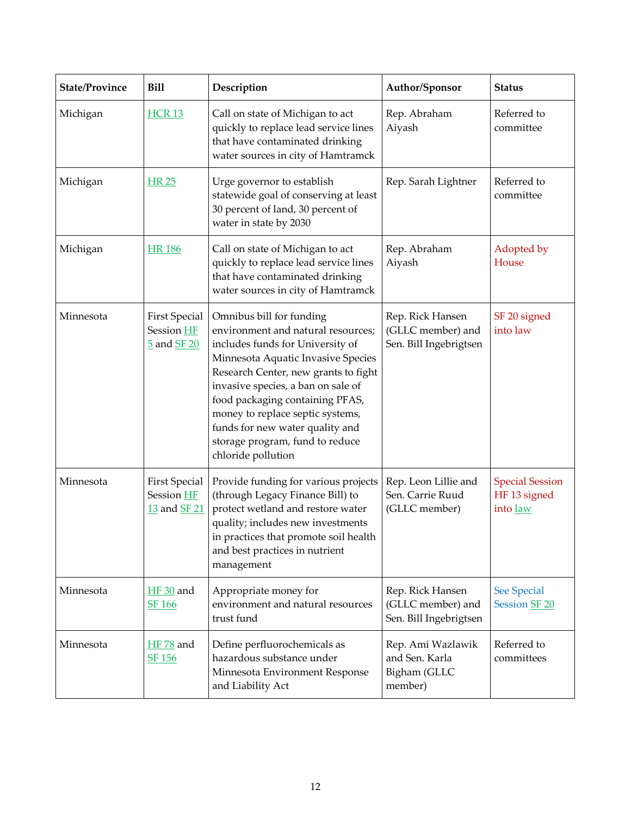| <b>State/Province</b> | <b>Bill</b>                                        | Description                                                                                                                                                                                                                                                                                                                                                                               | Author/Sponsor                                                  | <b>Status</b>                                      |
|-----------------------|----------------------------------------------------|-------------------------------------------------------------------------------------------------------------------------------------------------------------------------------------------------------------------------------------------------------------------------------------------------------------------------------------------------------------------------------------------|-----------------------------------------------------------------|----------------------------------------------------|
| Michigan              | <b>HCR 13</b>                                      | Call on state of Michigan to act<br>quickly to replace lead service lines<br>that have contaminated drinking<br>water sources in city of Hamtramck                                                                                                                                                                                                                                        | Rep. Abraham<br>Aiyash                                          | Referred to<br>committee                           |
| Michigan              | <b>HR 25</b>                                       | Urge governor to establish<br>statewide goal of conserving at least<br>30 percent of land, 30 percent of<br>water in state by 2030                                                                                                                                                                                                                                                        | Rep. Sarah Lightner                                             | Referred to<br>committee                           |
| Michigan              | <b>HR186</b>                                       | Call on state of Michigan to act<br>quickly to replace lead service lines<br>that have contaminated drinking<br>water sources in city of Hamtramck                                                                                                                                                                                                                                        | Rep. Abraham<br>Aiyash                                          | Adopted by<br>House                                |
| Minnesota             | <b>First Special</b><br>Session HF<br>5 and SF 20  | Omnibus bill for funding<br>environment and natural resources;<br>includes funds for University of<br>Minnesota Aquatic Invasive Species<br>Research Center, new grants to fight<br>invasive species, a ban on sale of<br>food packaging containing PFAS,<br>money to replace septic systems,<br>funds for new water quality and<br>storage program, fund to reduce<br>chloride pollution | Rep. Rick Hansen<br>(GLLC member) and<br>Sen. Bill Ingebrigtsen | SF 20 signed<br>into law                           |
| Minnesota             | <b>First Special</b><br>Session HF<br>13 and SF 21 | Provide funding for various projects<br>(through Legacy Finance Bill) to<br>protect wetland and restore water<br>quality; includes new investments<br>in practices that promote soil health<br>and best practices in nutrient<br>management                                                                                                                                               | Rep. Leon Lillie and<br>Sen. Carrie Ruud<br>(GLLC member)       | <b>Special Session</b><br>HF 13 signed<br>into law |
| Minnesota             | $HF 30$ and<br><b>SF 166</b>                       | Appropriate money for<br>environment and natural resources<br>trust fund                                                                                                                                                                                                                                                                                                                  | Rep. Rick Hansen<br>(GLLC member) and<br>Sen. Bill Ingebrigtsen | See Special<br>Session SF 20                       |
| Minnesota             | <b>HF</b> 78 and<br><b>SF 156</b>                  | Define perfluorochemicals as<br>hazardous substance under<br>Minnesota Environment Response<br>and Liability Act                                                                                                                                                                                                                                                                          | Rep. Ami Wazlawik<br>and Sen. Karla<br>Bigham (GLLC<br>member)  | Referred to<br>committees                          |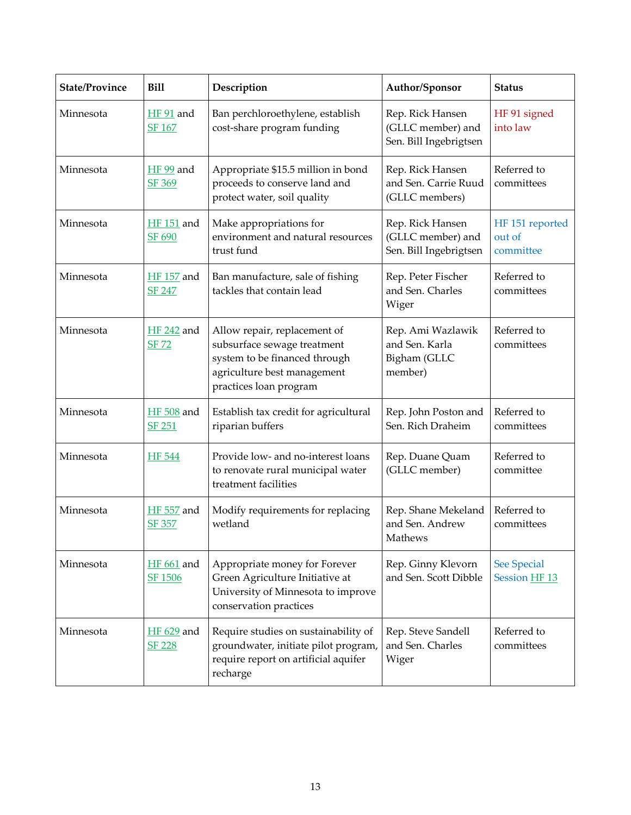| <b>State/Province</b> | <b>Bill</b>                        | Description                                                                                                                                           | Author/Sponsor                                                  | <b>Status</b>                                  |
|-----------------------|------------------------------------|-------------------------------------------------------------------------------------------------------------------------------------------------------|-----------------------------------------------------------------|------------------------------------------------|
| Minnesota             | $HF 91$ and<br>SF 167              | Ban perchloroethylene, establish<br>cost-share program funding                                                                                        | Rep. Rick Hansen<br>(GLLC member) and<br>Sen. Bill Ingebrigtsen | HF 91 signed<br>into law                       |
| Minnesota             | $HF 99$ and<br>SF 369              | Appropriate \$15.5 million in bond<br>proceeds to conserve land and<br>protect water, soil quality                                                    | Rep. Rick Hansen<br>and Sen. Carrie Ruud<br>(GLLC members)      | Referred to<br>committees                      |
| Minnesota             | <b>HF</b> 151 and<br>SF 690        | Make appropriations for<br>environment and natural resources<br>trust fund                                                                            | Rep. Rick Hansen<br>(GLLC member) and<br>Sen. Bill Ingebrigtsen | HF 151 reported<br>out of<br>committee         |
| Minnesota             | <b>HF</b> 157 and<br><b>SF 247</b> | Ban manufacture, sale of fishing<br>tackles that contain lead                                                                                         | Rep. Peter Fischer<br>and Sen. Charles<br>Wiger                 | Referred to<br>committees                      |
| Minnesota             | <b>HF 242</b> and<br><b>SF 72</b>  | Allow repair, replacement of<br>subsurface sewage treatment<br>system to be financed through<br>agriculture best management<br>practices loan program | Rep. Ami Wazlawik<br>and Sen. Karla<br>Bigham (GLLC<br>member)  | Referred to<br>committees                      |
| Minnesota             | <b>HF</b> 508 and<br><b>SF 251</b> | Establish tax credit for agricultural<br>riparian buffers                                                                                             | Rep. John Poston and<br>Sen. Rich Draheim                       | Referred to<br>committees                      |
| Minnesota             | <b>HF</b> 544                      | Provide low- and no-interest loans<br>to renovate rural municipal water<br>treatment facilities                                                       | Rep. Duane Quam<br>(GLLC member)                                | Referred to<br>committee                       |
| Minnesota             | <b>HF</b> 557 and<br><b>SF 357</b> | Modify requirements for replacing<br>wetland                                                                                                          | Rep. Shane Mekeland<br>and Sen. Andrew<br>Mathews               | Referred to<br>committees                      |
| Minnesota             | $HF 661$ and<br>SF 1506            | Appropriate money for Forever<br>Green Agriculture Initiative at<br>University of Minnesota to improve<br>conservation practices                      | Rep. Ginny Klevorn<br>and Sen. Scott Dibble                     | <b>See Special</b><br>Session HF <sub>13</sub> |
| Minnesota             | HF 629 and<br><b>SF 228</b>        | Require studies on sustainability of<br>groundwater, initiate pilot program,<br>require report on artificial aquifer<br>recharge                      | Rep. Steve Sandell<br>and Sen. Charles<br>Wiger                 | Referred to<br>committees                      |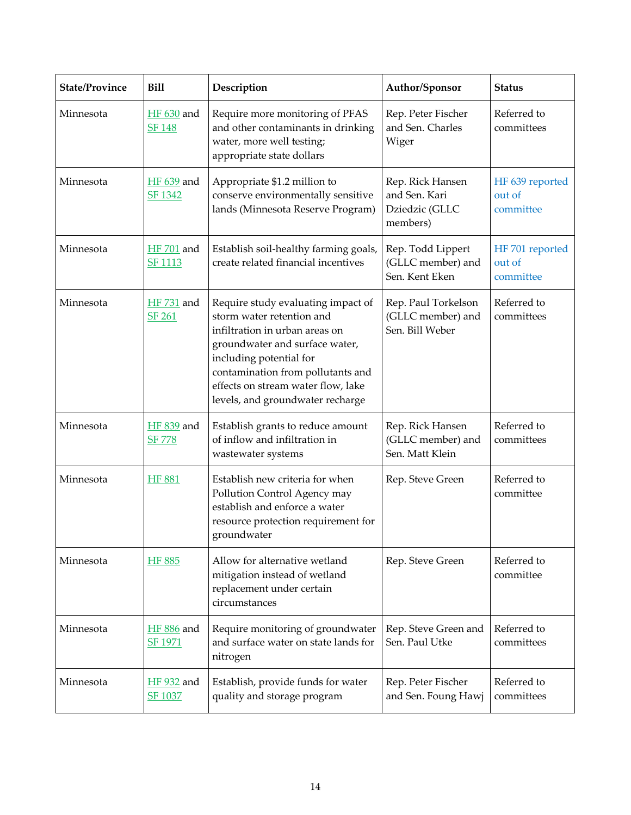| <b>State/Province</b> | <b>Bill</b>                         | Description                                                                                                                                                                                                                                                                   | Author/Sponsor                                                  | <b>Status</b>                          |
|-----------------------|-------------------------------------|-------------------------------------------------------------------------------------------------------------------------------------------------------------------------------------------------------------------------------------------------------------------------------|-----------------------------------------------------------------|----------------------------------------|
| Minnesota             | <b>HF</b> 630 and<br><b>SF 148</b>  | Require more monitoring of PFAS<br>and other contaminants in drinking<br>water, more well testing;<br>appropriate state dollars                                                                                                                                               | Rep. Peter Fischer<br>and Sen. Charles<br>Wiger                 | Referred to<br>committees              |
| Minnesota             | <b>HF</b> 639 and<br><b>SF 1342</b> | Appropriate \$1.2 million to<br>conserve environmentally sensitive<br>lands (Minnesota Reserve Program)                                                                                                                                                                       | Rep. Rick Hansen<br>and Sen. Kari<br>Dziedzic (GLLC<br>members) | HF 639 reported<br>out of<br>committee |
| Minnesota             | <b>HF</b> 701 and<br>SF 1113        | Establish soil-healthy farming goals,<br>create related financial incentives                                                                                                                                                                                                  | Rep. Todd Lippert<br>(GLLC member) and<br>Sen. Kent Eken        | HF 701 reported<br>out of<br>committee |
| Minnesota             | <b>HF</b> 731 and<br><b>SF 261</b>  | Require study evaluating impact of<br>storm water retention and<br>infiltration in urban areas on<br>groundwater and surface water,<br>including potential for<br>contamination from pollutants and<br>effects on stream water flow, lake<br>levels, and groundwater recharge | Rep. Paul Torkelson<br>(GLLC member) and<br>Sen. Bill Weber     | Referred to<br>committees              |
| Minnesota             | HF 839 and<br><u>SF 778</u>         | Establish grants to reduce amount<br>of inflow and infiltration in<br>wastewater systems                                                                                                                                                                                      | Rep. Rick Hansen<br>(GLLC member) and<br>Sen. Matt Klein        | Referred to<br>committees              |
| Minnesota             | <b>HF 881</b>                       | Establish new criteria for when<br>Pollution Control Agency may<br>establish and enforce a water<br>resource protection requirement for<br>groundwater                                                                                                                        | Rep. Steve Green                                                | Referred to<br>committee               |
| Minnesota             | <b>HF 885</b>                       | Allow for alternative wetland<br>mitigation instead of wetland<br>replacement under certain<br>circumstances                                                                                                                                                                  | Rep. Steve Green                                                | Referred to<br>committee               |
| Minnesota             | <b>HF</b> 886 and<br>SF 1971        | Require monitoring of groundwater<br>and surface water on state lands for<br>nitrogen                                                                                                                                                                                         | Rep. Steve Green and<br>Sen. Paul Utke                          | Referred to<br>committees              |
| Minnesota             | HF 932 and<br><b>SF 1037</b>        | Establish, provide funds for water<br>quality and storage program                                                                                                                                                                                                             | Rep. Peter Fischer<br>and Sen. Foung Hawj                       | Referred to<br>committees              |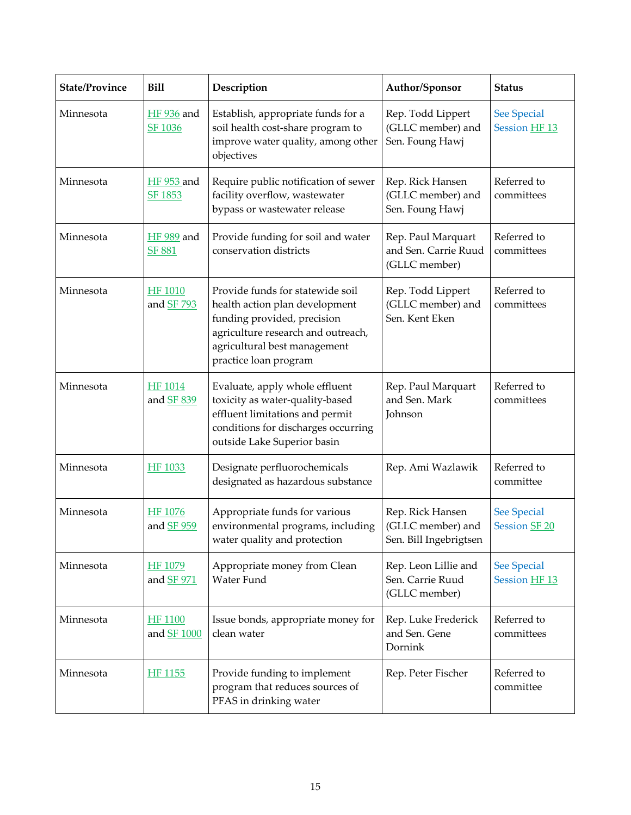| <b>State/Province</b> | <b>Bill</b>                        | Description                                                                                                                                                                                      | Author/Sponsor                                                  | <b>Status</b>                                  |
|-----------------------|------------------------------------|--------------------------------------------------------------------------------------------------------------------------------------------------------------------------------------------------|-----------------------------------------------------------------|------------------------------------------------|
| Minnesota             | <b>HF</b> 936 and<br>SF 1036       | Establish, appropriate funds for a<br>soil health cost-share program to<br>improve water quality, among other<br>objectives                                                                      | Rep. Todd Lippert<br>(GLLC member) and<br>Sen. Foung Hawj       | <b>See Special</b><br>Session HF <sub>13</sub> |
| Minnesota             | <b>HF 953 and</b><br>SF 1853       | Require public notification of sewer<br>facility overflow, wastewater<br>bypass or wastewater release                                                                                            | Rep. Rick Hansen<br>(GLLC member) and<br>Sen. Foung Hawj        | Referred to<br>committees                      |
| Minnesota             | <b>HF</b> 989 and<br><b>SF 881</b> | Provide funding for soil and water<br>conservation districts                                                                                                                                     | Rep. Paul Marquart<br>and Sen. Carrie Ruud<br>(GLLC member)     | Referred to<br>committees                      |
| Minnesota             | <b>HF 1010</b><br>and SF 793       | Provide funds for statewide soil<br>health action plan development<br>funding provided, precision<br>agriculture research and outreach,<br>agricultural best management<br>practice loan program | Rep. Todd Lippert<br>(GLLC member) and<br>Sen. Kent Eken        | Referred to<br>committees                      |
| Minnesota             | <b>HF</b> 1014<br>and SF 839       | Evaluate, apply whole effluent<br>toxicity as water-quality-based<br>effluent limitations and permit<br>conditions for discharges occurring<br>outside Lake Superior basin                       | Rep. Paul Marquart<br>and Sen. Mark<br>Johnson                  | Referred to<br>committees                      |
| Minnesota             | <b>HF 1033</b>                     | Designate perfluorochemicals<br>designated as hazardous substance                                                                                                                                | Rep. Ami Wazlawik                                               | Referred to<br>committee                       |
| Minnesota             | <b>HF 1076</b><br>and SF 959       | Appropriate funds for various<br>environmental programs, including<br>water quality and protection                                                                                               | Rep. Rick Hansen<br>(GLLC member) and<br>Sen. Bill Ingebrigtsen | <b>See Special</b><br>Session SF <sub>20</sub> |
| Minnesota             | <b>HF 1079</b><br>and SF 971       | Appropriate money from Clean<br>Water Fund                                                                                                                                                       | Rep. Leon Lillie and<br>Sen. Carrie Ruud<br>(GLLC member)       | <b>See Special</b><br>Session HF <sub>13</sub> |
| Minnesota             | <b>HF 1100</b><br>and SF 1000      | Issue bonds, appropriate money for<br>clean water                                                                                                                                                | Rep. Luke Frederick<br>and Sen. Gene<br>Dornink                 | Referred to<br>committees                      |
| Minnesota             | HF 1155                            | Provide funding to implement<br>program that reduces sources of<br>PFAS in drinking water                                                                                                        | Rep. Peter Fischer                                              | Referred to<br>committee                       |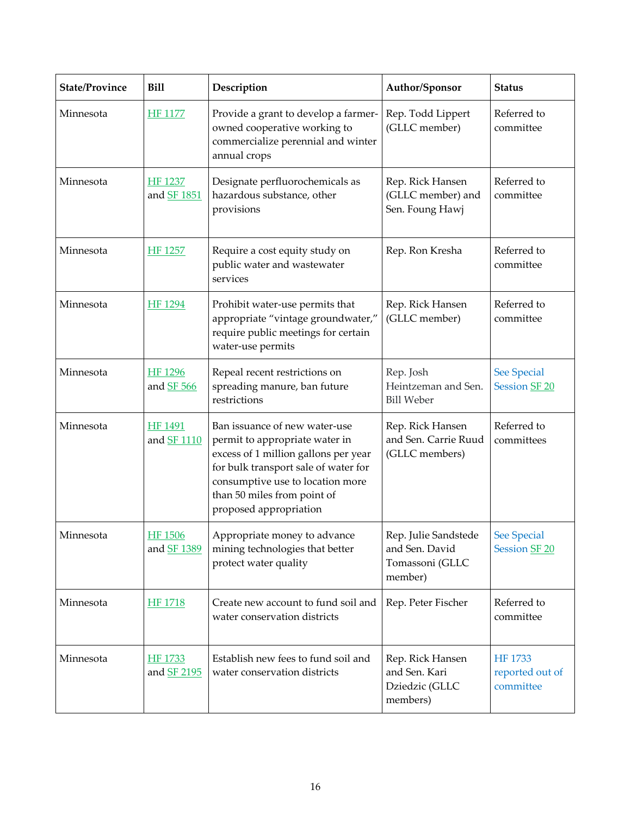| <b>State/Province</b> | <b>Bill</b>                          | Description                                                                                                                                                                                                                                  | Author/Sponsor                                                       | <b>Status</b>                                  |
|-----------------------|--------------------------------------|----------------------------------------------------------------------------------------------------------------------------------------------------------------------------------------------------------------------------------------------|----------------------------------------------------------------------|------------------------------------------------|
| Minnesota             | <b>HF 1177</b>                       | Provide a grant to develop a farmer-<br>owned cooperative working to<br>commercialize perennial and winter<br>annual crops                                                                                                                   | Rep. Todd Lippert<br>(GLLC member)                                   | Referred to<br>committee                       |
| Minnesota             | <b>HF 1237</b><br>and <b>SF 1851</b> | Designate perfluorochemicals as<br>hazardous substance, other<br>provisions                                                                                                                                                                  | Rep. Rick Hansen<br>(GLLC member) and<br>Sen. Foung Hawj             | Referred to<br>committee                       |
| Minnesota             | <b>HF 1257</b>                       | Require a cost equity study on<br>public water and wastewater<br>services                                                                                                                                                                    | Rep. Ron Kresha                                                      | Referred to<br>committee                       |
| Minnesota             | <b>HF</b> 1294                       | Prohibit water-use permits that<br>appropriate "vintage groundwater,"<br>require public meetings for certain<br>water-use permits                                                                                                            | Rep. Rick Hansen<br>(GLLC member)                                    | Referred to<br>committee                       |
| Minnesota             | HF 1296<br>and <b>SF</b> 566         | Repeal recent restrictions on<br>spreading manure, ban future<br>restrictions                                                                                                                                                                | Rep. Josh<br>Heintzeman and Sen.<br><b>Bill Weber</b>                | See Special<br>Session SF 20                   |
| Minnesota             | <b>HF 1491</b><br>and <b>SF</b> 1110 | Ban issuance of new water-use<br>permit to appropriate water in<br>excess of 1 million gallons per year<br>for bulk transport sale of water for<br>consumptive use to location more<br>than 50 miles from point of<br>proposed appropriation | Rep. Rick Hansen<br>and Sen. Carrie Ruud<br>(GLLC members)           | Referred to<br>committees                      |
| Minnesota             | <b>HF 1506</b><br>and SF 1389        | Appropriate money to advance<br>mining technologies that better<br>protect water quality                                                                                                                                                     | Rep. Julie Sandstede<br>and Sen. David<br>Tomassoni (GLLC<br>member) | <b>See Special</b><br>Session SF 20            |
| Minnesota             | <b>HF 1718</b>                       | Create new account to fund soil and<br>water conservation districts                                                                                                                                                                          | Rep. Peter Fischer                                                   | Referred to<br>committee                       |
| Minnesota             | HF 1733<br>and SF 2195               | Establish new fees to fund soil and<br>water conservation districts                                                                                                                                                                          | Rep. Rick Hansen<br>and Sen. Kari<br>Dziedzic (GLLC<br>members)      | <b>HF 1733</b><br>reported out of<br>committee |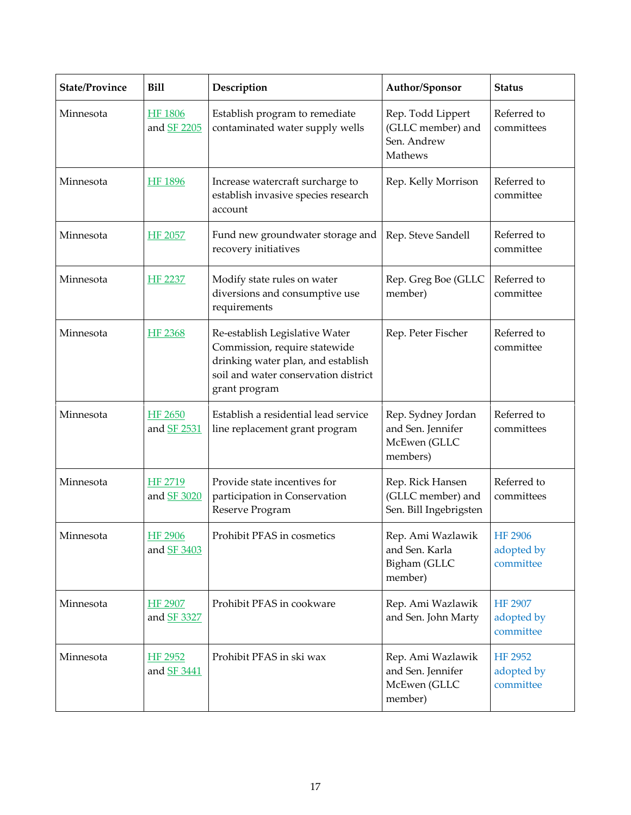| <b>State/Province</b> | <b>Bill</b>                          | Description                                                                                                                                                    | Author/Sponsor                                                      | <b>Status</b>                             |
|-----------------------|--------------------------------------|----------------------------------------------------------------------------------------------------------------------------------------------------------------|---------------------------------------------------------------------|-------------------------------------------|
| Minnesota             | <b>HF 1806</b><br>and SF 2205        | Establish program to remediate<br>contaminated water supply wells                                                                                              | Rep. Todd Lippert<br>(GLLC member) and<br>Sen. Andrew<br>Mathews    | Referred to<br>committees                 |
| Minnesota             | <b>HF 1896</b>                       | Increase watercraft surcharge to<br>establish invasive species research<br>account                                                                             | Rep. Kelly Morrison                                                 | Referred to<br>committee                  |
| Minnesota             | <b>HF 2057</b>                       | Fund new groundwater storage and<br>recovery initiatives                                                                                                       | Rep. Steve Sandell                                                  | Referred to<br>committee                  |
| Minnesota             | <b>HF 2237</b>                       | Modify state rules on water<br>diversions and consumptive use<br>requirements                                                                                  | Rep. Greg Boe (GLLC<br>member)                                      | Referred to<br>committee                  |
| Minnesota             | HF 2368                              | Re-establish Legislative Water<br>Commission, require statewide<br>drinking water plan, and establish<br>soil and water conservation district<br>grant program | Rep. Peter Fischer                                                  | Referred to<br>committee                  |
| Minnesota             | <b>HF 2650</b><br>and <b>SF 2531</b> | Establish a residential lead service<br>line replacement grant program                                                                                         | Rep. Sydney Jordan<br>and Sen. Jennifer<br>McEwen (GLLC<br>members) | Referred to<br>committees                 |
| Minnesota             | HF 2719<br>and SF 3020               | Provide state incentives for<br>participation in Conservation<br>Reserve Program                                                                               | Rep. Rick Hansen<br>(GLLC member) and<br>Sen. Bill Ingebrigsten     | Referred to<br>committees                 |
| Minnesota             | <b>HF 2906</b><br>and SF 3403        | Prohibit PFAS in cosmetics                                                                                                                                     | Rep. Ami Wazlawik<br>and Sen. Karla<br>Bigham (GLLC<br>member)      | <b>HF 2906</b><br>adopted by<br>committee |
| Minnesota             | HF 2907<br>and SF 3327               | Prohibit PFAS in cookware                                                                                                                                      | Rep. Ami Wazlawik<br>and Sen. John Marty                            | <b>HF 2907</b><br>adopted by<br>committee |
| Minnesota             | HF 2952<br>and SF 3441               | Prohibit PFAS in ski wax                                                                                                                                       | Rep. Ami Wazlawik<br>and Sen. Jennifer<br>McEwen (GLLC<br>member)   | <b>HF 2952</b><br>adopted by<br>committee |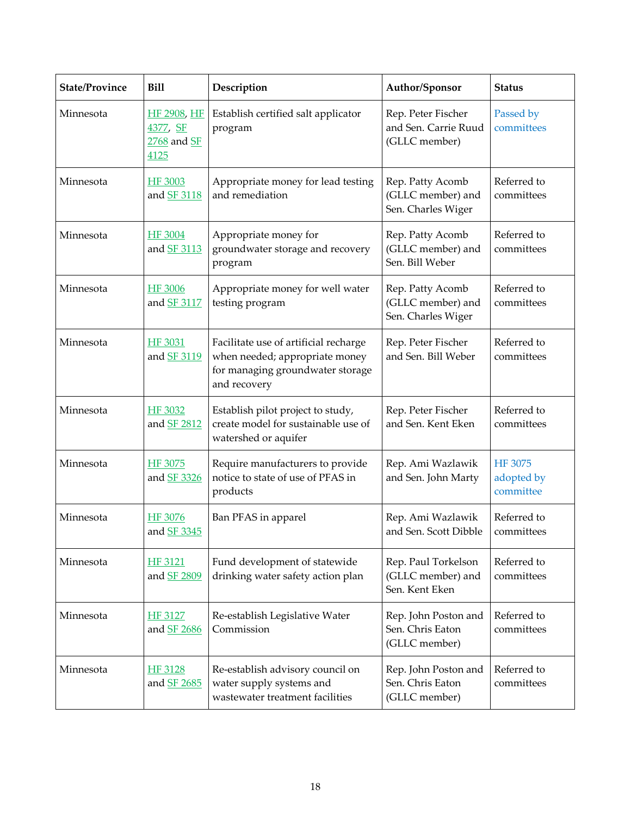| <b>State/Province</b> | <b>Bill</b>                                    | Description                                                                                                                 | Author/Sponsor                                              | <b>Status</b>                      |
|-----------------------|------------------------------------------------|-----------------------------------------------------------------------------------------------------------------------------|-------------------------------------------------------------|------------------------------------|
| Minnesota             | HF 2908, HF<br>4377, SF<br>2768 and SF<br>4125 | Establish certified salt applicator<br>program                                                                              | Rep. Peter Fischer<br>and Sen. Carrie Ruud<br>(GLLC member) | Passed by<br>committees            |
| Minnesota             | <b>HF 3003</b><br>and <b>SF 3118</b>           | Appropriate money for lead testing<br>and remediation                                                                       | Rep. Patty Acomb<br>(GLLC member) and<br>Sen. Charles Wiger | Referred to<br>committees          |
| Minnesota             | <b>HF 3004</b><br>and <b>SF 3113</b>           | Appropriate money for<br>groundwater storage and recovery<br>program                                                        | Rep. Patty Acomb<br>(GLLC member) and<br>Sen. Bill Weber    | Referred to<br>committees          |
| Minnesota             | <b>HF 3006</b><br>and <b>SF 3117</b>           | Appropriate money for well water<br>testing program                                                                         | Rep. Patty Acomb<br>(GLLC member) and<br>Sen. Charles Wiger | Referred to<br>committees          |
| Minnesota             | HF 3031<br>and <b>SF 3119</b>                  | Facilitate use of artificial recharge<br>when needed; appropriate money<br>for managing groundwater storage<br>and recovery | Rep. Peter Fischer<br>and Sen. Bill Weber                   | Referred to<br>committees          |
| Minnesota             | <b>HF 3032</b><br>and <b>SF 2812</b>           | Establish pilot project to study,<br>create model for sustainable use of<br>watershed or aquifer                            | Rep. Peter Fischer<br>and Sen. Kent Eken                    | Referred to<br>committees          |
| Minnesota             | HF 3075<br>and SF 3326                         | Require manufacturers to provide<br>notice to state of use of PFAS in<br>products                                           | Rep. Ami Wazlawik<br>and Sen. John Marty                    | HF 3075<br>adopted by<br>committee |
| Minnesota             | HF 3076<br>and SF 3345                         | Ban PFAS in apparel                                                                                                         | Rep. Ami Wazlawik<br>and Sen. Scott Dibble                  | Referred to<br>committees          |
| Minnesota             | HF 3121<br>and SF 2809                         | Fund development of statewide<br>drinking water safety action plan                                                          | Rep. Paul Torkelson<br>(GLLC member) and<br>Sen. Kent Eken  | Referred to<br>committees          |
| Minnesota             | <b>HF 3127</b><br>and SF 2686                  | Re-establish Legislative Water<br>Commission                                                                                | Rep. John Poston and<br>Sen. Chris Eaton<br>(GLLC member)   | Referred to<br>committees          |
| Minnesota             | HF 3128<br>and SF 2685                         | Re-establish advisory council on<br>water supply systems and<br>wastewater treatment facilities                             | Rep. John Poston and<br>Sen. Chris Eaton<br>(GLLC member)   | Referred to<br>committees          |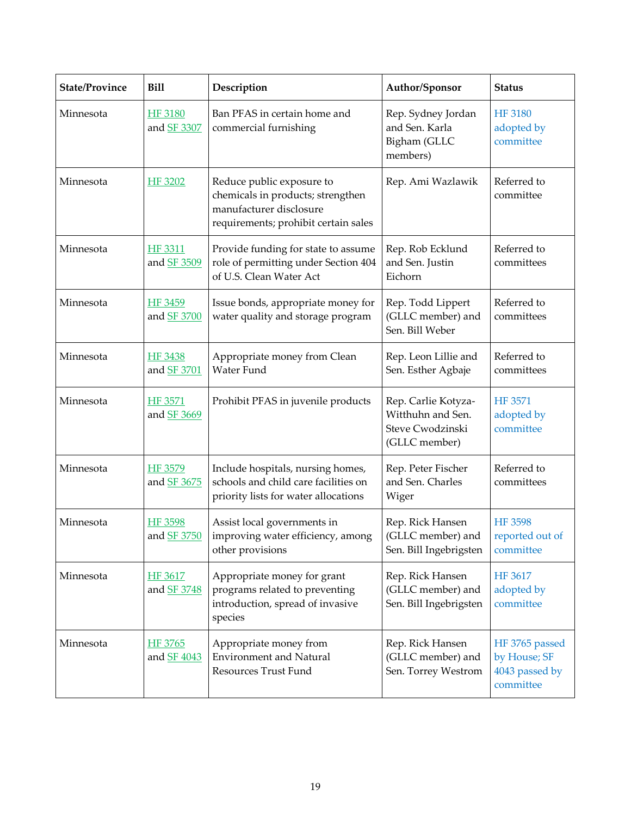| <b>State/Province</b> | <b>Bill</b>                          | Description                                                                                                                       | Author/Sponsor                                                                | <b>Status</b>                                                 |
|-----------------------|--------------------------------------|-----------------------------------------------------------------------------------------------------------------------------------|-------------------------------------------------------------------------------|---------------------------------------------------------------|
| Minnesota             | <b>HF 3180</b><br>and SF 3307        | Ban PFAS in certain home and<br>commercial furnishing                                                                             | Rep. Sydney Jordan<br>and Sen. Karla<br>Bigham (GLLC<br>members)              | <b>HF 3180</b><br>adopted by<br>committee                     |
| Minnesota             | HF 3202                              | Reduce public exposure to<br>chemicals in products; strengthen<br>manufacturer disclosure<br>requirements; prohibit certain sales | Rep. Ami Wazlawik                                                             | Referred to<br>committee                                      |
| Minnesota             | <b>HF 3311</b><br>and <b>SF 3509</b> | Provide funding for state to assume<br>role of permitting under Section 404<br>of U.S. Clean Water Act                            | Rep. Rob Ecklund<br>and Sen. Justin<br>Eichorn                                | Referred to<br>committees                                     |
| Minnesota             | HF 3459<br>and SF 3700               | Issue bonds, appropriate money for<br>water quality and storage program                                                           | Rep. Todd Lippert<br>(GLLC member) and<br>Sen. Bill Weber                     | Referred to<br>committees                                     |
| Minnesota             | HF 3438<br>and SF 3701               | Appropriate money from Clean<br>Water Fund                                                                                        | Rep. Leon Lillie and<br>Sen. Esther Agbaje                                    | Referred to<br>committees                                     |
| Minnesota             | HF 3571<br>and SF 3669               | Prohibit PFAS in juvenile products                                                                                                | Rep. Carlie Kotyza-<br>Witthuhn and Sen.<br>Steve Cwodzinski<br>(GLLC member) | <b>HF 3571</b><br>adopted by<br>committee                     |
| Minnesota             | HF 3579<br>and SF 3675               | Include hospitals, nursing homes,<br>schools and child care facilities on<br>priority lists for water allocations                 | Rep. Peter Fischer<br>and Sen. Charles<br>Wiger                               | Referred to<br>committees                                     |
| Minnesota             | <b>HF 3598</b><br>and SF 3750        | Assist local governments in<br>improving water efficiency, among<br>other provisions                                              | Rep. Rick Hansen<br>(GLLC member) and<br>Sen. Bill Ingebrigsten               | <b>HF 3598</b><br>reported out of<br>committee                |
| Minnesota             | HF 3617<br>and SF 3748               | Appropriate money for grant<br>programs related to preventing<br>introduction, spread of invasive<br>species                      | Rep. Rick Hansen<br>(GLLC member) and<br>Sen. Bill Ingebrigsten               | HF 3617<br>adopted by<br>committee                            |
| Minnesota             | HF 3765<br>and SF 4043               | Appropriate money from<br><b>Environment and Natural</b><br>Resources Trust Fund                                                  | Rep. Rick Hansen<br>(GLLC member) and<br>Sen. Torrey Westrom                  | HF 3765 passed<br>by House; SF<br>4043 passed by<br>committee |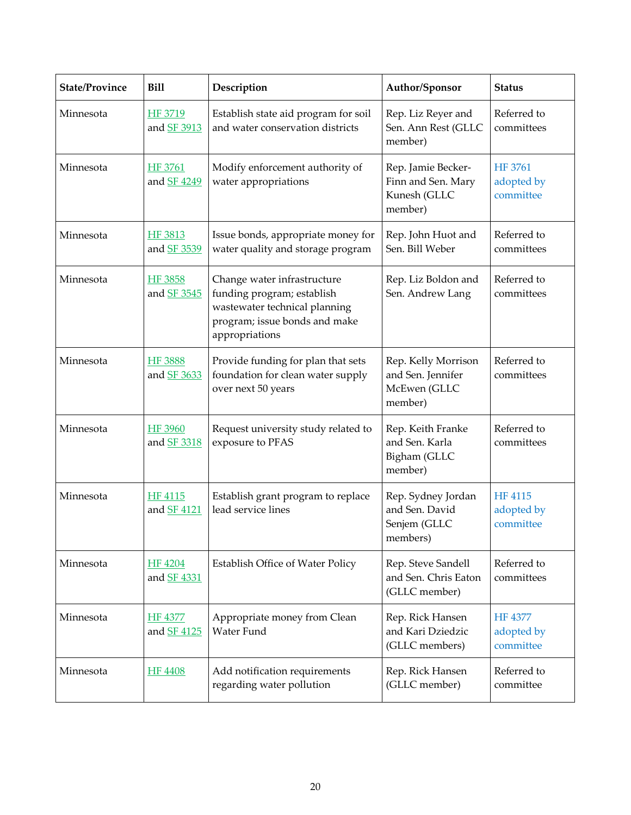| <b>State/Province</b> | <b>Bill</b>                          | Description                                                                                                                                   | Author/Sponsor                                                      | <b>Status</b>                             |
|-----------------------|--------------------------------------|-----------------------------------------------------------------------------------------------------------------------------------------------|---------------------------------------------------------------------|-------------------------------------------|
| Minnesota             | HF 3719<br>and SF 3913               | Establish state aid program for soil<br>and water conservation districts                                                                      | Rep. Liz Reyer and<br>Sen. Ann Rest (GLLC<br>member)                | Referred to<br>committees                 |
| Minnesota             | HF 3761<br>and SF 4249               | Modify enforcement authority of<br>water appropriations                                                                                       | Rep. Jamie Becker-<br>Finn and Sen. Mary<br>Kunesh (GLLC<br>member) | HF 3761<br>adopted by<br>committee        |
| Minnesota             | HF 3813<br>and SF 3539               | Issue bonds, appropriate money for<br>water quality and storage program                                                                       | Rep. John Huot and<br>Sen. Bill Weber                               | Referred to<br>committees                 |
| Minnesota             | <b>HF 3858</b><br>and <b>SF 3545</b> | Change water infrastructure<br>funding program; establish<br>wastewater technical planning<br>program; issue bonds and make<br>appropriations | Rep. Liz Boldon and<br>Sen. Andrew Lang                             | Referred to<br>committees                 |
| Minnesota             | <b>HF 3888</b><br>and SF 3633        | Provide funding for plan that sets<br>foundation for clean water supply<br>over next 50 years                                                 | Rep. Kelly Morrison<br>and Sen. Jennifer<br>McEwen (GLLC<br>member) | Referred to<br>committees                 |
| Minnesota             | <b>HF 3960</b><br>and <b>SF 3318</b> | Request university study related to<br>exposure to PFAS                                                                                       | Rep. Keith Franke<br>and Sen. Karla<br>Bigham (GLLC<br>member)      | Referred to<br>committees                 |
| Minnesota             | HF 4115<br>and SF 4121               | Establish grant program to replace<br>lead service lines                                                                                      | Rep. Sydney Jordan<br>and Sen. David<br>Senjem (GLLC<br>members)    | <b>HF 4115</b><br>adopted by<br>committee |
| Minnesota             | <b>HF 4204</b><br>and <b>SF 4331</b> | Establish Office of Water Policy                                                                                                              | Rep. Steve Sandell<br>and Sen. Chris Eaton<br>(GLLC member)         | Referred to<br>committees                 |
| Minnesota             | <b>HF 4377</b><br>and SF 4125        | Appropriate money from Clean<br>Water Fund                                                                                                    | Rep. Rick Hansen<br>and Kari Dziedzic<br>(GLLC members)             | HF 4377<br>adopted by<br>committee        |
| Minnesota             | <b>HF 4408</b>                       | Add notification requirements<br>regarding water pollution                                                                                    | Rep. Rick Hansen<br>(GLLC member)                                   | Referred to<br>committee                  |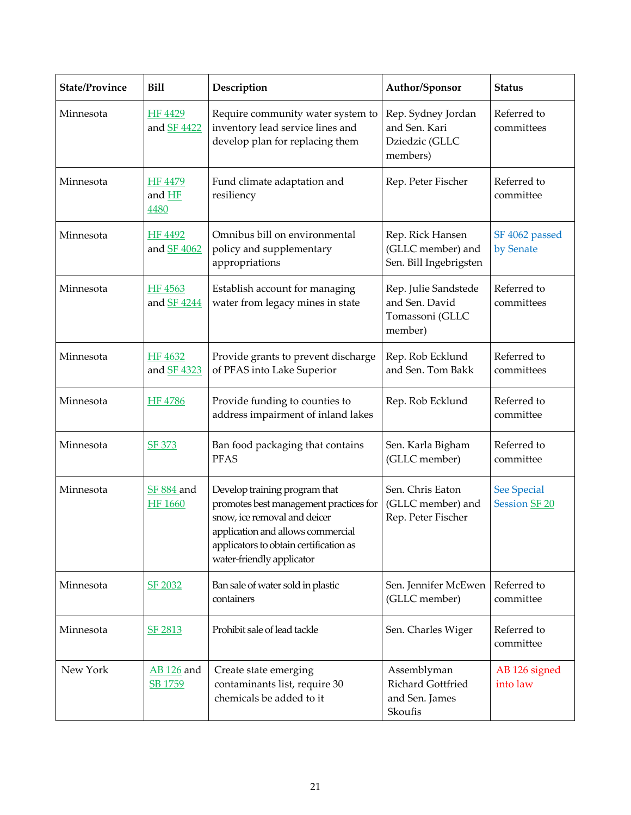| <b>State/Province</b> | <b>Bill</b>                         | Description                                                                                                                                                                                                         | Author/Sponsor                                                       | <b>Status</b>                       |
|-----------------------|-------------------------------------|---------------------------------------------------------------------------------------------------------------------------------------------------------------------------------------------------------------------|----------------------------------------------------------------------|-------------------------------------|
| Minnesota             | HF 4429<br>and SF 4422              | Require community water system to<br>inventory lead service lines and<br>develop plan for replacing them                                                                                                            | Rep. Sydney Jordan<br>and Sen. Kari<br>Dziedzic (GLLC<br>members)    | Referred to<br>committees           |
| Minnesota             | <b>HF 4479</b><br>and HF<br>4480    | Fund climate adaptation and<br>resiliency                                                                                                                                                                           | Rep. Peter Fischer                                                   | Referred to<br>committee            |
| Minnesota             | <b>HF 4492</b><br>and SF 4062       | Omnibus bill on environmental<br>policy and supplementary<br>appropriations                                                                                                                                         | Rep. Rick Hansen<br>(GLLC member) and<br>Sen. Bill Ingebrigsten      | SF 4062 passed<br>by Senate         |
| Minnesota             | HF 4563<br>and SF 4244              | Establish account for managing<br>water from legacy mines in state                                                                                                                                                  | Rep. Julie Sandstede<br>and Sen. David<br>Tomassoni (GLLC<br>member) | Referred to<br>committees           |
| Minnesota             | HF 4632<br>and SF 4323              | Provide grants to prevent discharge<br>of PFAS into Lake Superior                                                                                                                                                   | Rep. Rob Ecklund<br>and Sen. Tom Bakk                                | Referred to<br>committees           |
| Minnesota             | <b>HF 4786</b>                      | Provide funding to counties to<br>address impairment of inland lakes                                                                                                                                                | Rep. Rob Ecklund                                                     | Referred to<br>committee            |
| Minnesota             | <b>SF 373</b>                       | Ban food packaging that contains<br><b>PFAS</b>                                                                                                                                                                     | Sen. Karla Bigham<br>(GLLC member)                                   | Referred to<br>committee            |
| Minnesota             | <b>SF 884 and</b><br><b>HF 1660</b> | Develop training program that<br>promotes best management practices for<br>snow, ice removal and deicer<br>application and allows commercial<br>applicators to obtain certification as<br>water-friendly applicator | Sen. Chris Eaton<br>(GLLC member) and<br>Rep. Peter Fischer          | <b>See Special</b><br>Session SF 20 |
| Minnesota             | SF 2032                             | Ban sale of water sold in plastic<br>containers                                                                                                                                                                     | Sen. Jennifer McEwen<br>(GLLC member)                                | Referred to<br>committee            |
| Minnesota             | SF 2813                             | Prohibit sale of lead tackle                                                                                                                                                                                        | Sen. Charles Wiger                                                   | Referred to<br>committee            |
| New York              | <b>AB</b> 126 and<br>SB 1759        | Create state emerging<br>contaminants list, require 30<br>chemicals be added to it                                                                                                                                  | Assemblyman<br>Richard Gottfried<br>and Sen. James<br>Skoufis        | AB 126 signed<br>into law           |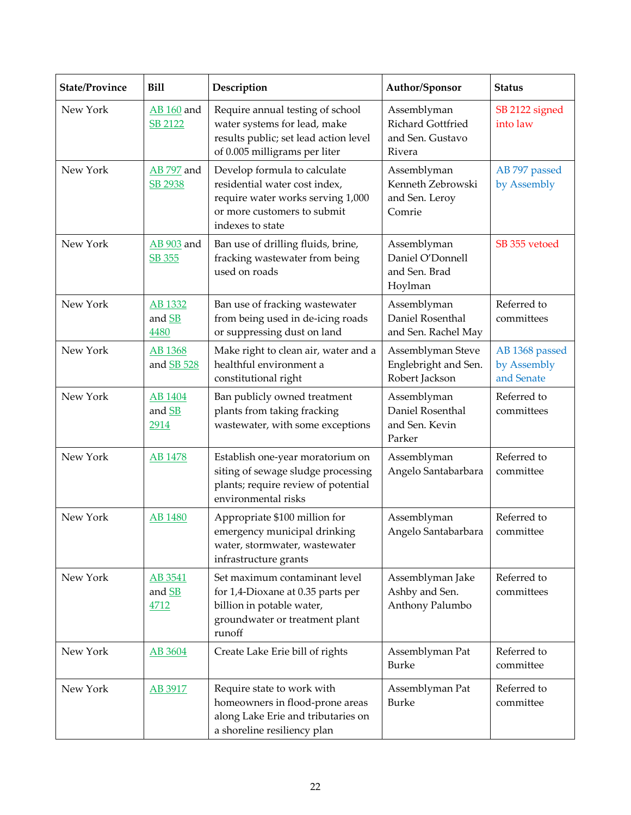| <b>State/Province</b> | <b>Bill</b>                  | Description                                                                                                                                           | Author/Sponsor                                                 | <b>Status</b>                               |
|-----------------------|------------------------------|-------------------------------------------------------------------------------------------------------------------------------------------------------|----------------------------------------------------------------|---------------------------------------------|
| New York              | <b>AB</b> 160 and<br>SB 2122 | Require annual testing of school<br>water systems for lead, make<br>results public; set lead action level<br>of 0.005 milligrams per liter            | Assemblyman<br>Richard Gottfried<br>and Sen. Gustavo<br>Rivera | SB 2122 signed<br>into law                  |
| New York              | <b>AB</b> 797 and<br>SB 2938 | Develop formula to calculate<br>residential water cost index,<br>require water works serving 1,000<br>or more customers to submit<br>indexes to state | Assemblyman<br>Kenneth Zebrowski<br>and Sen. Leroy<br>Comrie   | AB 797 passed<br>by Assembly                |
| New York              | <b>AB</b> 903 and<br>SB 355  | Ban use of drilling fluids, brine,<br>fracking wastewater from being<br>used on roads                                                                 | Assemblyman<br>Daniel O'Donnell<br>and Sen. Brad<br>Hoylman    | SB 355 vetoed                               |
| New York              | AB 1332<br>and SB<br>4480    | Ban use of fracking wastewater<br>from being used in de-icing roads<br>or suppressing dust on land                                                    | Assemblyman<br>Daniel Rosenthal<br>and Sen. Rachel May         | Referred to<br>committees                   |
| New York              | AB 1368<br>and SB 528        | Make right to clean air, water and a<br>healthful environment a<br>constitutional right                                                               | Assemblyman Steve<br>Englebright and Sen.<br>Robert Jackson    | AB 1368 passed<br>by Assembly<br>and Senate |
| New York              | AB 1404<br>and SB<br>2914    | Ban publicly owned treatment<br>plants from taking fracking<br>wastewater, with some exceptions                                                       | Assemblyman<br>Daniel Rosenthal<br>and Sen. Kevin<br>Parker    | Referred to<br>committees                   |
| New York              | <b>AB</b> 1478               | Establish one-year moratorium on<br>siting of sewage sludge processing<br>plants; require review of potential<br>environmental risks                  | Assemblyman<br>Angelo Santabarbara                             | Referred to<br>committee                    |
| New York              | <b>AB 1480</b>               | Appropriate \$100 million for<br>emergency municipal drinking<br>water, stormwater, wastewater<br>infrastructure grants                               | Assemblyman<br>Angelo Santabarbara                             | Referred to<br>committee                    |
| New York              | AB 3541<br>and SB<br>4712    | Set maximum contaminant level<br>for 1,4-Dioxane at 0.35 parts per<br>billion in potable water,<br>groundwater or treatment plant<br>runoff           | Assemblyman Jake<br>Ashby and Sen.<br>Anthony Palumbo          | Referred to<br>committees                   |
| New York              | AB 3604                      | Create Lake Erie bill of rights                                                                                                                       | Assemblyman Pat<br><b>Burke</b>                                | Referred to<br>committee                    |
| New York              | AB 3917                      | Require state to work with<br>homeowners in flood-prone areas<br>along Lake Erie and tributaries on<br>a shoreline resiliency plan                    | Assemblyman Pat<br><b>Burke</b>                                | Referred to<br>committee                    |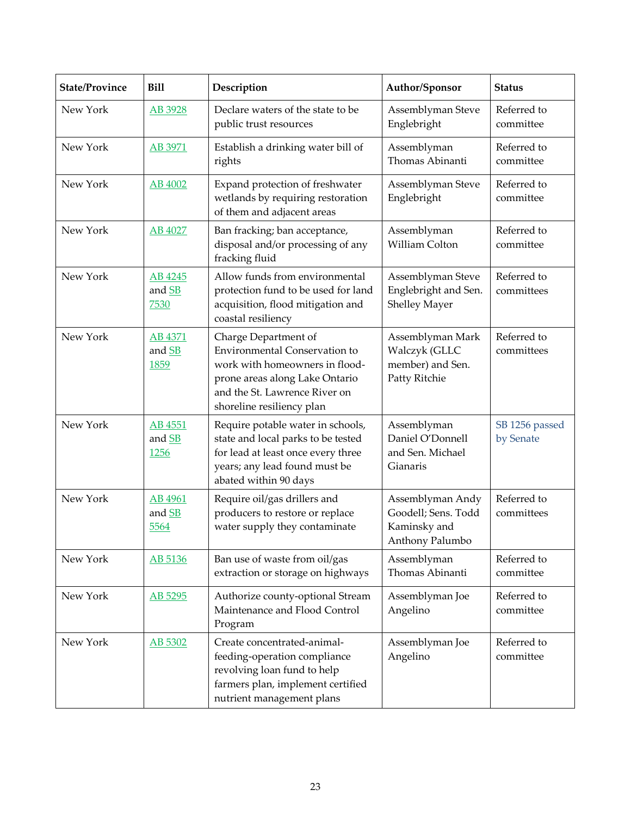| <b>State/Province</b> | <b>Bill</b>               | Description                                                                                                                                                                                    | Author/Sponsor                                                             | <b>Status</b>               |
|-----------------------|---------------------------|------------------------------------------------------------------------------------------------------------------------------------------------------------------------------------------------|----------------------------------------------------------------------------|-----------------------------|
| New York              | AB 3928                   | Declare waters of the state to be<br>public trust resources                                                                                                                                    | Assemblyman Steve<br>Englebright                                           | Referred to<br>committee    |
| New York              | AB 3971                   | Establish a drinking water bill of<br>rights                                                                                                                                                   | Assemblyman<br>Thomas Abinanti                                             | Referred to<br>committee    |
| New York              | AB 4002                   | Expand protection of freshwater<br>wetlands by requiring restoration<br>of them and adjacent areas                                                                                             | Assemblyman Steve<br>Englebright                                           | Referred to<br>committee    |
| New York              | AB 4027                   | Ban fracking; ban acceptance,<br>disposal and/or processing of any<br>fracking fluid                                                                                                           | Assemblyman<br>William Colton                                              | Referred to<br>committee    |
| New York              | AB 4245<br>and SB<br>7530 | Allow funds from environmental<br>protection fund to be used for land<br>acquisition, flood mitigation and<br>coastal resiliency                                                               | Assemblyman Steve<br>Englebright and Sen.<br><b>Shelley Mayer</b>          | Referred to<br>committees   |
| New York              | AB 4371<br>and SB<br>1859 | Charge Department of<br><b>Environmental Conservation to</b><br>work with homeowners in flood-<br>prone areas along Lake Ontario<br>and the St. Lawrence River on<br>shoreline resiliency plan | Assemblyman Mark<br>Walczyk (GLLC<br>member) and Sen.<br>Patty Ritchie     | Referred to<br>committees   |
| New York              | AB 4551<br>and SB<br>1256 | Require potable water in schools,<br>state and local parks to be tested<br>for lead at least once every three<br>years; any lead found must be<br>abated within 90 days                        | Assemblyman<br>Daniel O'Donnell<br>and Sen. Michael<br>Gianaris            | SB 1256 passed<br>by Senate |
| New York              | AB 4961<br>and SB<br>5564 | Require oil/gas drillers and<br>producers to restore or replace<br>water supply they contaminate                                                                                               | Assemblyman Andy<br>Goodell; Sens. Todd<br>Kaminsky and<br>Anthony Palumbo | Referred to<br>committees   |
| New York              | AB 5136                   | Ban use of waste from oil/gas<br>extraction or storage on highways                                                                                                                             | Assemblyman<br>Thomas Abinanti                                             | Referred to<br>committee    |
| New York              | AB 5295                   | Authorize county-optional Stream<br>Maintenance and Flood Control<br>Program                                                                                                                   | Assemblyman Joe<br>Angelino                                                | Referred to<br>committee    |
| New York              | AB 5302                   | Create concentrated-animal-<br>feeding-operation compliance<br>revolving loan fund to help<br>farmers plan, implement certified<br>nutrient management plans                                   | Assemblyman Joe<br>Angelino                                                | Referred to<br>committee    |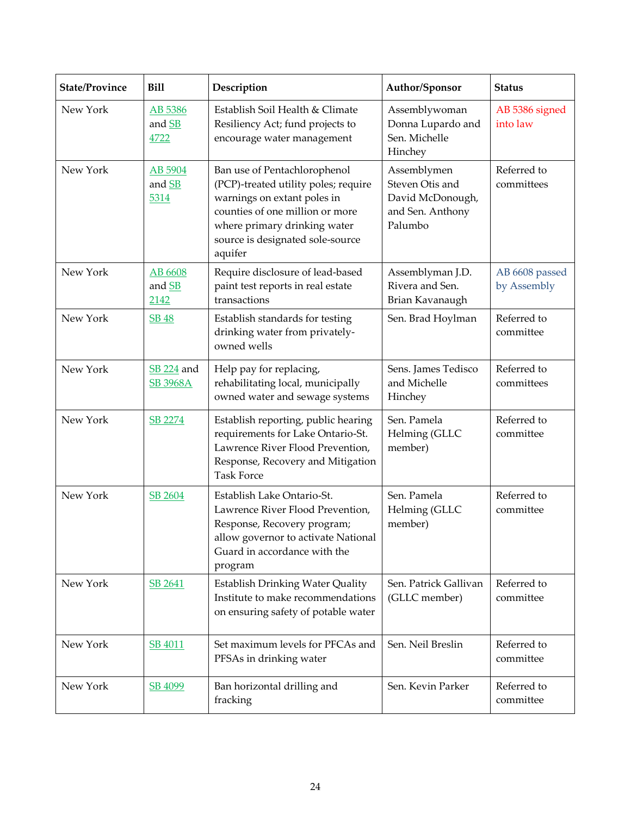| <b>State/Province</b> | <b>Bill</b>                          | Description                                                                                                                                                                                                           | Author/Sponsor                                                                    | <b>Status</b>                 |
|-----------------------|--------------------------------------|-----------------------------------------------------------------------------------------------------------------------------------------------------------------------------------------------------------------------|-----------------------------------------------------------------------------------|-------------------------------|
| New York              | AB 5386<br>and SB<br>4722            | Establish Soil Health & Climate<br>Resiliency Act; fund projects to<br>encourage water management                                                                                                                     | Assemblywoman<br>Donna Lupardo and<br>Sen. Michelle<br>Hinchey                    | AB 5386 signed<br>into law    |
| New York              | AB 5904<br>and SB<br>5314            | Ban use of Pentachlorophenol<br>(PCP)-treated utility poles; require<br>warnings on extant poles in<br>counties of one million or more<br>where primary drinking water<br>source is designated sole-source<br>aquifer | Assemblymen<br>Steven Otis and<br>David McDonough,<br>and Sen. Anthony<br>Palumbo | Referred to<br>committees     |
| New York              | AB 6608<br>and SB<br>2142            | Require disclosure of lead-based<br>paint test reports in real estate<br>transactions                                                                                                                                 | Assemblyman J.D.<br>Rivera and Sen.<br>Brian Kavanaugh                            | AB 6608 passed<br>by Assembly |
| New York              | <b>SB 48</b>                         | Establish standards for testing<br>drinking water from privately-<br>owned wells                                                                                                                                      | Sen. Brad Hoylman                                                                 | Referred to<br>committee      |
| New York              | <b>SB 224</b> and<br><b>SB 3968A</b> | Help pay for replacing,<br>rehabilitating local, municipally<br>owned water and sewage systems                                                                                                                        | Sens. James Tedisco<br>and Michelle<br>Hinchey                                    | Referred to<br>committees     |
| New York              | SB 2274                              | Establish reporting, public hearing<br>requirements for Lake Ontario-St.<br>Lawrence River Flood Prevention,<br>Response, Recovery and Mitigation<br><b>Task Force</b>                                                | Sen. Pamela<br>Helming (GLLC<br>member)                                           | Referred to<br>committee      |
| New York              | SB 2604                              | Establish Lake Ontario-St.<br>Lawrence River Flood Prevention,<br>Response, Recovery program;<br>allow governor to activate National<br>Guard in accordance with the<br>program                                       | Sen. Pamela<br>Helming (GLLC<br>member)                                           | Referred to<br>committee      |
| New York              | SB 2641                              | <b>Establish Drinking Water Quality</b><br>Institute to make recommendations<br>on ensuring safety of potable water                                                                                                   | Sen. Patrick Gallivan<br>(GLLC member)                                            | Referred to<br>committee      |
| New York              | SB 4011                              | Set maximum levels for PFCAs and<br>PFSAs in drinking water                                                                                                                                                           | Sen. Neil Breslin                                                                 | Referred to<br>committee      |
| New York              | SB 4099                              | Ban horizontal drilling and<br>fracking                                                                                                                                                                               | Sen. Kevin Parker                                                                 | Referred to<br>committee      |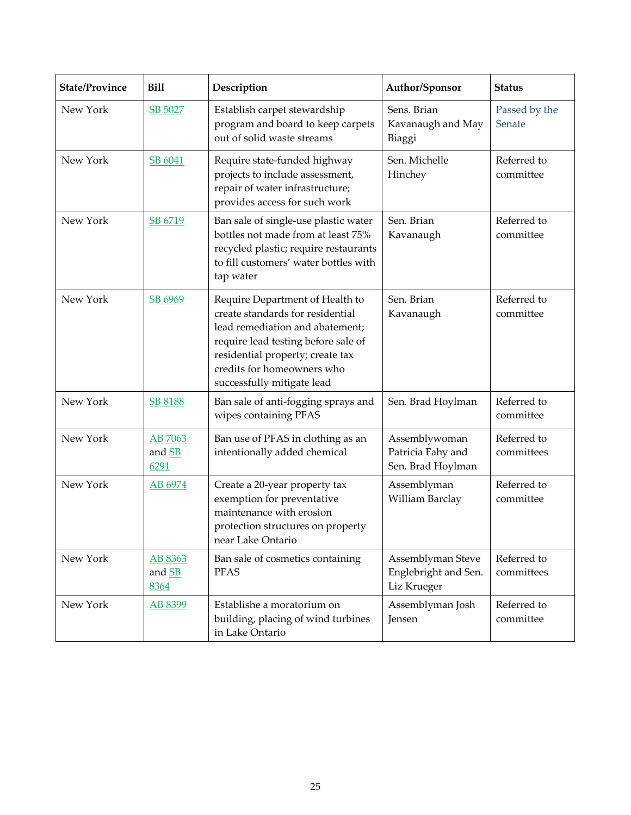| <b>State/Province</b> | <b>Bill</b>               | Description                                                                                                                                                                                                                                   | Author/Sponsor                                           | <b>Status</b>             |
|-----------------------|---------------------------|-----------------------------------------------------------------------------------------------------------------------------------------------------------------------------------------------------------------------------------------------|----------------------------------------------------------|---------------------------|
| New York              | SB 5027                   | Establish carpet stewardship<br>program and board to keep carpets<br>out of solid waste streams                                                                                                                                               | Sens. Brian<br>Kavanaugh and May<br>Biaggi               | Passed by the<br>Senate   |
| New York              | SB 6041                   | Require state-funded highway<br>projects to include assessment,<br>repair of water infrastructure;<br>provides access for such work                                                                                                           | Sen. Michelle<br>Hinchey                                 | Referred to<br>committee  |
| New York              | SB 6719                   | Ban sale of single-use plastic water<br>bottles not made from at least 75%<br>recycled plastic; require restaurants<br>to fill customers' water bottles with<br>tap water                                                                     | Sen. Brian<br>Kavanaugh                                  | Referred to<br>committee  |
| New York              | SB 6969                   | Require Department of Health to<br>create standards for residential<br>lead remediation and abatement;<br>require lead testing before sale of<br>residential property; create tax<br>credits for homeowners who<br>successfully mitigate lead | Sen. Brian<br>Kavanaugh                                  | Referred to<br>committee  |
| New York              | <b>SB 8188</b>            | Ban sale of anti-fogging sprays and<br>wipes containing PFAS                                                                                                                                                                                  | Sen. Brad Hoylman                                        | Referred to<br>committee  |
| New York              | AB 7063<br>and SB<br>6291 | Ban use of PFAS in clothing as an<br>intentionally added chemical                                                                                                                                                                             | Assemblywoman<br>Patricia Fahy and<br>Sen. Brad Hoylman  | Referred to<br>committees |
| New York              | AB 6974                   | Create a 20-year property tax<br>exemption for preventative<br>maintenance with erosion<br>protection structures on property<br>near Lake Ontario                                                                                             | Assemblyman<br>William Barclay                           | Referred to<br>committee  |
| New York              | AB 8363<br>and SB<br>8364 | Ban sale of cosmetics containing<br><b>PFAS</b>                                                                                                                                                                                               | Assemblyman Steve<br>Englebright and Sen.<br>Liz Krueger | Referred to<br>committees |
| New York              | AB 8399                   | Establishe a moratorium on<br>building, placing of wind turbines<br>in Lake Ontario                                                                                                                                                           | Assemblyman Josh<br>Jensen                               | Referred to<br>committee  |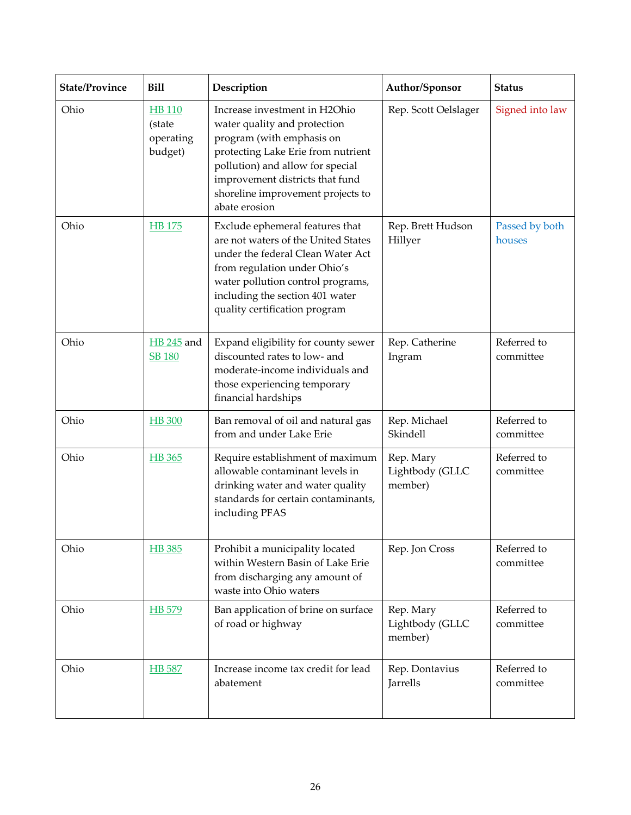| <b>State/Province</b> | <b>Bill</b>                                     | Description                                                                                                                                                                                                                                                   | Author/Sponsor                          | <b>Status</b>            |
|-----------------------|-------------------------------------------------|---------------------------------------------------------------------------------------------------------------------------------------------------------------------------------------------------------------------------------------------------------------|-----------------------------------------|--------------------------|
| Ohio                  | <b>HB</b> 110<br>(state<br>operating<br>budget) | Increase investment in H2Ohio<br>water quality and protection<br>program (with emphasis on<br>protecting Lake Erie from nutrient<br>pollution) and allow for special<br>improvement districts that fund<br>shoreline improvement projects to<br>abate erosion | Rep. Scott Oelslager                    | Signed into law          |
| Ohio                  | <b>HB</b> 175                                   | Exclude ephemeral features that<br>are not waters of the United States<br>under the federal Clean Water Act<br>from regulation under Ohio's<br>water pollution control programs,<br>including the section 401 water<br>quality certification program          | Rep. Brett Hudson<br>Hillyer            | Passed by both<br>houses |
| Ohio                  | <b>HB</b> 245 and<br><b>SB 180</b>              | Expand eligibility for county sewer<br>discounted rates to low- and<br>moderate-income individuals and<br>those experiencing temporary<br>financial hardships                                                                                                 | Rep. Catherine<br>Ingram                | Referred to<br>committee |
| Ohio                  | <b>HB</b> 300                                   | Ban removal of oil and natural gas<br>from and under Lake Erie                                                                                                                                                                                                | Rep. Michael<br>Skindell                | Referred to<br>committee |
| Ohio                  | HB 365                                          | Require establishment of maximum<br>allowable contaminant levels in<br>drinking water and water quality<br>standards for certain contaminants,<br>including PFAS                                                                                              | Rep. Mary<br>Lightbody (GLLC<br>member) | Referred to<br>committee |
| Ohio                  | HB 385                                          | Prohibit a municipality located<br>within Western Basin of Lake Erie<br>from discharging any amount of<br>waste into Ohio waters                                                                                                                              | Rep. Jon Cross                          | Referred to<br>committee |
| Ohio                  | HB 579                                          | Ban application of brine on surface<br>of road or highway                                                                                                                                                                                                     | Rep. Mary<br>Lightbody (GLLC<br>member) | Referred to<br>committee |
| Ohio                  | HB 587                                          | Increase income tax credit for lead<br>abatement                                                                                                                                                                                                              | Rep. Dontavius<br>Jarrells              | Referred to<br>committee |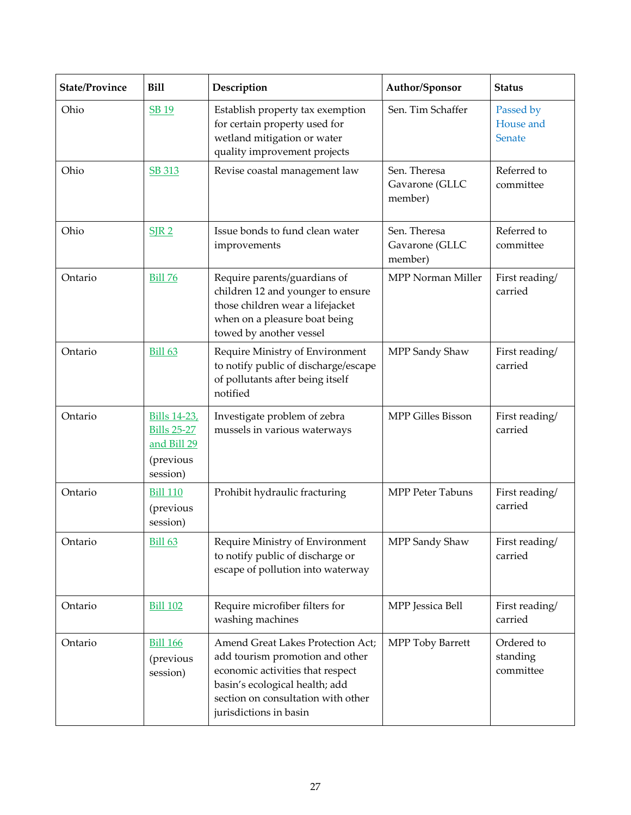| <b>State/Province</b> | <b>Bill</b>                                                                       | Description                                                                                                                                                                                                | Author/Sponsor                            | <b>Status</b>                       |
|-----------------------|-----------------------------------------------------------------------------------|------------------------------------------------------------------------------------------------------------------------------------------------------------------------------------------------------------|-------------------------------------------|-------------------------------------|
| Ohio                  | <b>SB 19</b>                                                                      | Establish property tax exemption<br>for certain property used for<br>wetland mitigation or water<br>quality improvement projects                                                                           | Sen. Tim Schaffer                         | Passed by<br>House and<br>Senate    |
| Ohio                  | <b>SB 313</b>                                                                     | Revise coastal management law                                                                                                                                                                              | Sen. Theresa<br>Gavarone (GLLC<br>member) | Referred to<br>committee            |
| Ohio                  | SIR <sub>2</sub>                                                                  | Issue bonds to fund clean water<br>improvements                                                                                                                                                            | Sen. Theresa<br>Gavarone (GLLC<br>member) | Referred to<br>committee            |
| Ontario               | <b>Bill 76</b>                                                                    | Require parents/guardians of<br>children 12 and younger to ensure<br>those children wear a lifejacket<br>when on a pleasure boat being<br>towed by another vessel                                          | MPP Norman Miller                         | First reading/<br>carried           |
| Ontario               | Bill 63                                                                           | Require Ministry of Environment<br>to notify public of discharge/escape<br>of pollutants after being itself<br>notified                                                                                    | MPP Sandy Shaw                            | First reading/<br>carried           |
| Ontario               | <b>Bills 14-23,</b><br><b>Bills 25-27</b><br>and Bill 29<br>(previous<br>session) | Investigate problem of zebra<br>mussels in various waterways                                                                                                                                               | <b>MPP Gilles Bisson</b>                  | First reading/<br>carried           |
| Ontario               | <b>Bill 110</b><br>(previous<br>session)                                          | Prohibit hydraulic fracturing                                                                                                                                                                              | <b>MPP Peter Tabuns</b>                   | First reading/<br>carried           |
| Ontario               | <b>Bill 63</b>                                                                    | Require Ministry of Environment<br>to notify public of discharge or<br>escape of pollution into waterway                                                                                                   | MPP Sandy Shaw                            | First reading/<br>carried           |
| Ontario               | <b>Bill 102</b>                                                                   | Require microfiber filters for<br>washing machines                                                                                                                                                         | MPP Jessica Bell                          | First reading/<br>carried           |
| Ontario               | <b>Bill 166</b><br>(previous<br>session)                                          | Amend Great Lakes Protection Act;<br>add tourism promotion and other<br>economic activities that respect<br>basin's ecological health; add<br>section on consultation with other<br>jurisdictions in basin | MPP Toby Barrett                          | Ordered to<br>standing<br>committee |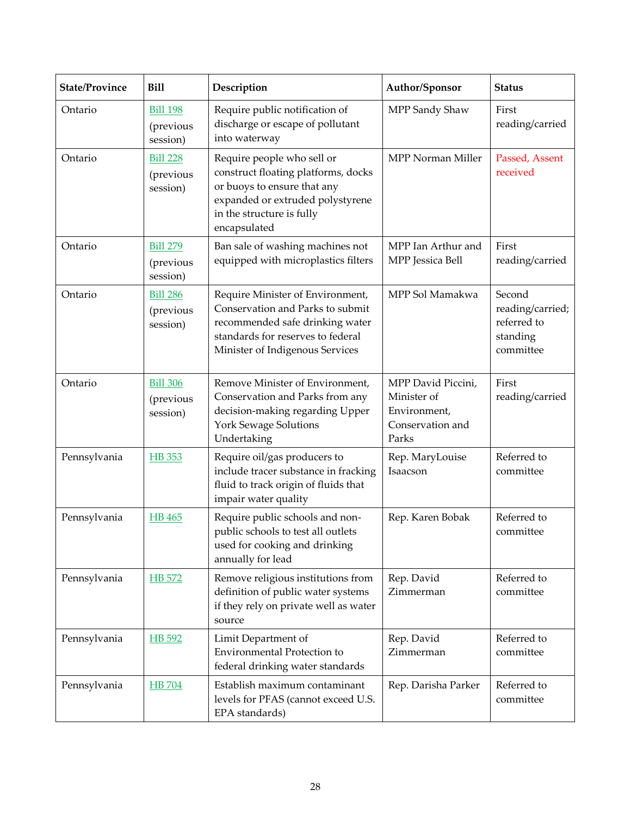| <b>State/Province</b> | <b>Bill</b>                              | Description                                                                                                                                                                       | Author/Sponsor                                                                 | <b>Status</b>                                                      |
|-----------------------|------------------------------------------|-----------------------------------------------------------------------------------------------------------------------------------------------------------------------------------|--------------------------------------------------------------------------------|--------------------------------------------------------------------|
| Ontario               | <b>Bill 198</b><br>(previous<br>session) | Require public notification of<br>discharge or escape of pollutant<br>into waterway                                                                                               | MPP Sandy Shaw                                                                 | First<br>reading/carried                                           |
| Ontario               | <b>Bill 228</b><br>(previous<br>session) | Require people who sell or<br>construct floating platforms, docks<br>or buoys to ensure that any<br>expanded or extruded polystyrene<br>in the structure is fully<br>encapsulated | MPP Norman Miller                                                              | Passed, Assent<br>received                                         |
| Ontario               | <b>Bill 279</b><br>(previous<br>session) | Ban sale of washing machines not<br>equipped with microplastics filters                                                                                                           | MPP Ian Arthur and<br>MPP Jessica Bell                                         | First<br>reading/carried                                           |
| Ontario               | <b>Bill 286</b><br>(previous<br>session) | Require Minister of Environment,<br>Conservation and Parks to submit<br>recommended safe drinking water<br>standards for reserves to federal<br>Minister of Indigenous Services   | MPP Sol Mamakwa                                                                | Second<br>reading/carried;<br>referred to<br>standing<br>committee |
| Ontario               | <b>Bill 306</b><br>(previous<br>session) | Remove Minister of Environment,<br>Conservation and Parks from any<br>decision-making regarding Upper<br>York Sewage Solutions<br>Undertaking                                     | MPP David Piccini,<br>Minister of<br>Environment,<br>Conservation and<br>Parks | First<br>reading/carried                                           |
| Pennsylvania          | HB 353                                   | Require oil/gas producers to<br>include tracer substance in fracking<br>fluid to track origin of fluids that<br>impair water quality                                              | Rep. MaryLouise<br>Isaacson                                                    | Referred to<br>committee                                           |
| Pennsylvania          | <b>HB</b> 465                            | Require public schools and non-<br>public schools to test all outlets<br>used for cooking and drinking<br>annually for lead                                                       | Rep. Karen Bobak                                                               | Referred to<br>committee                                           |
| Pennsylvania          | HB 572                                   | Remove religious institutions from<br>definition of public water systems<br>if they rely on private well as water<br>source                                                       | Rep. David<br>Zimmerman                                                        | Referred to<br>committee                                           |
| Pennsylvania          | HB 592                                   | Limit Department of<br><b>Environmental Protection to</b><br>federal drinking water standards                                                                                     | Rep. David<br>Zimmerman                                                        | Referred to<br>committee                                           |
| Pennsylvania          | <b>HB</b> 704                            | Establish maximum contaminant<br>levels for PFAS (cannot exceed U.S.<br>EPA standards)                                                                                            | Rep. Darisha Parker                                                            | Referred to<br>committee                                           |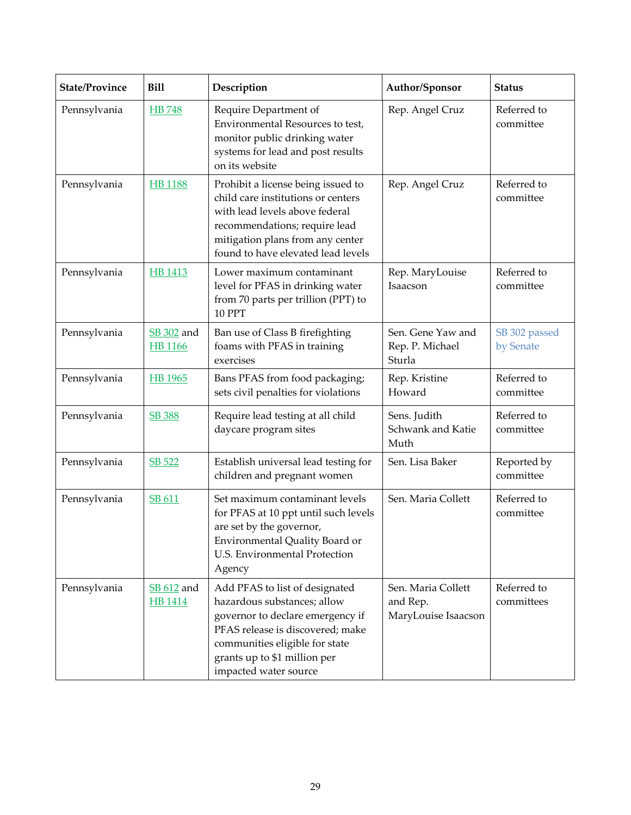| <b>State/Province</b> | <b>Bill</b>                  | Description                                                                                                                                                                                                                      | Author/Sponsor                                        | <b>Status</b>              |
|-----------------------|------------------------------|----------------------------------------------------------------------------------------------------------------------------------------------------------------------------------------------------------------------------------|-------------------------------------------------------|----------------------------|
| Pennsylvania          | <b>HB</b> 748                | Require Department of<br>Environmental Resources to test,<br>monitor public drinking water<br>systems for lead and post results<br>on its website                                                                                | Rep. Angel Cruz                                       | Referred to<br>committee   |
| Pennsylvania          | <b>HB</b> 1188               | Prohibit a license being issued to<br>child care institutions or centers<br>with lead levels above federal<br>recommendations; require lead<br>mitigation plans from any center<br>found to have elevated lead levels            | Rep. Angel Cruz                                       | Referred to<br>committee   |
| Pennsylvania          | HB 1413                      | Lower maximum contaminant<br>level for PFAS in drinking water<br>from 70 parts per trillion (PPT) to<br><b>10 PPT</b>                                                                                                            | Rep. MaryLouise<br>Isaacson                           | Referred to<br>committee   |
| Pennsylvania          | SB 302 and<br><b>HB</b> 1166 | Ban use of Class B firefighting<br>foams with PFAS in training<br>exercises                                                                                                                                                      | Sen. Gene Yaw and<br>Rep. P. Michael<br>Sturla        | SB 302 passed<br>by Senate |
| Pennsylvania          | HB 1965                      | Bans PFAS from food packaging;<br>sets civil penalties for violations                                                                                                                                                            | Rep. Kristine<br>Howard                               | Referred to<br>committee   |
| Pennsylvania          | <b>SB 388</b>                | Require lead testing at all child<br>daycare program sites                                                                                                                                                                       | Sens. Judith<br>Schwank and Katie<br>Muth             | Referred to<br>committee   |
| Pennsylvania          | SB 522                       | Establish universal lead testing for<br>children and pregnant women                                                                                                                                                              | Sen. Lisa Baker                                       | Reported by<br>committee   |
| Pennsylvania          | SB 611                       | Set maximum contaminant levels<br>for PFAS at 10 ppt until such levels<br>are set by the governor,<br>Environmental Quality Board or<br>U.S. Environmental Protection<br>Agency                                                  | Sen. Maria Collett                                    | Referred to<br>committee   |
| Pennsylvania          | SB 612 and<br><b>HB</b> 1414 | Add PFAS to list of designated<br>hazardous substances; allow<br>governor to declare emergency if<br>PFAS release is discovered; make<br>communities eligible for state<br>grants up to \$1 million per<br>impacted water source | Sen. Maria Collett<br>and Rep.<br>MaryLouise Isaacson | Referred to<br>committees  |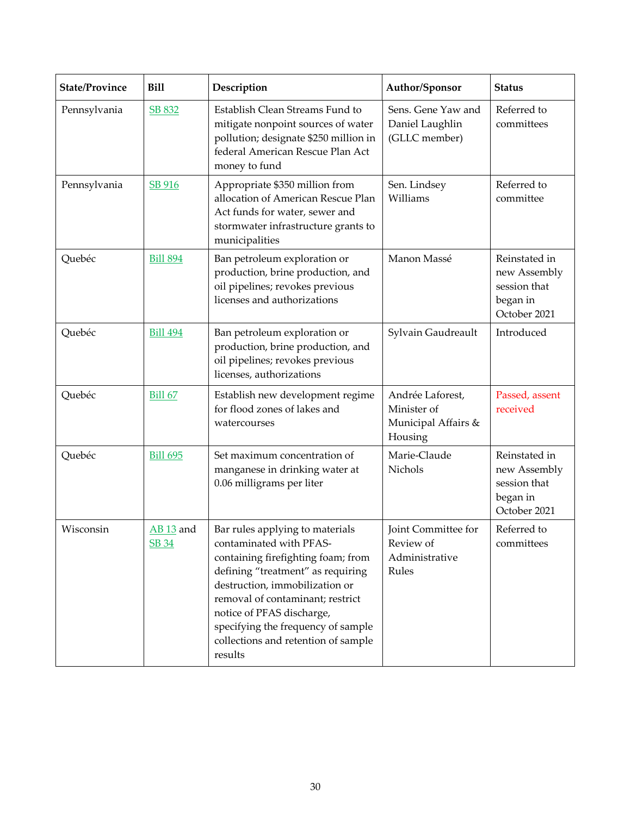| <b>State/Province</b> | <b>Bill</b>                          | Description                                                                                                                                                                                                                                                                                                                      | Author/Sponsor                                                     | <b>Status</b>                                                             |
|-----------------------|--------------------------------------|----------------------------------------------------------------------------------------------------------------------------------------------------------------------------------------------------------------------------------------------------------------------------------------------------------------------------------|--------------------------------------------------------------------|---------------------------------------------------------------------------|
| Pennsylvania          | SB 832                               | Establish Clean Streams Fund to<br>mitigate nonpoint sources of water<br>pollution; designate \$250 million in<br>federal American Rescue Plan Act<br>money to fund                                                                                                                                                              | Sens. Gene Yaw and<br>Daniel Laughlin<br>(GLLC member)             | Referred to<br>committees                                                 |
| Pennsylvania          | SB 916                               | Appropriate \$350 million from<br>allocation of American Rescue Plan<br>Act funds for water, sewer and<br>stormwater infrastructure grants to<br>municipalities                                                                                                                                                                  | Sen. Lindsey<br>Williams                                           | Referred to<br>committee                                                  |
| Quebéc                | <b>Bill 894</b>                      | Ban petroleum exploration or<br>production, brine production, and<br>oil pipelines; revokes previous<br>licenses and authorizations                                                                                                                                                                                              | Manon Massé                                                        | Reinstated in<br>new Assembly<br>session that<br>began in<br>October 2021 |
| Quebéc                | <b>Bill 494</b>                      | Ban petroleum exploration or<br>production, brine production, and<br>oil pipelines; revokes previous<br>licenses, authorizations                                                                                                                                                                                                 | Sylvain Gaudreault                                                 | Introduced                                                                |
| Quebéc                | <b>Bill 67</b>                       | Establish new development regime<br>for flood zones of lakes and<br>watercourses                                                                                                                                                                                                                                                 | Andrée Laforest,<br>Minister of<br>Municipal Affairs &<br>Housing  | Passed, assent<br>received                                                |
| Quebéc                | <b>Bill 695</b>                      | Set maximum concentration of<br>manganese in drinking water at<br>0.06 milligrams per liter                                                                                                                                                                                                                                      | Marie-Claude<br>Nichols                                            | Reinstated in<br>new Assembly<br>session that<br>began in<br>October 2021 |
| Wisconsin             | AB <sub>13</sub> and<br><b>SB 34</b> | Bar rules applying to materials<br>contaminated with PFAS-<br>containing firefighting foam; from<br>defining "treatment" as requiring<br>destruction, immobilization or<br>removal of contaminant; restrict<br>notice of PFAS discharge,<br>specifying the frequency of sample<br>collections and retention of sample<br>results | <b>Joint Committee for</b><br>Review of<br>Administrative<br>Rules | Referred to<br>committees                                                 |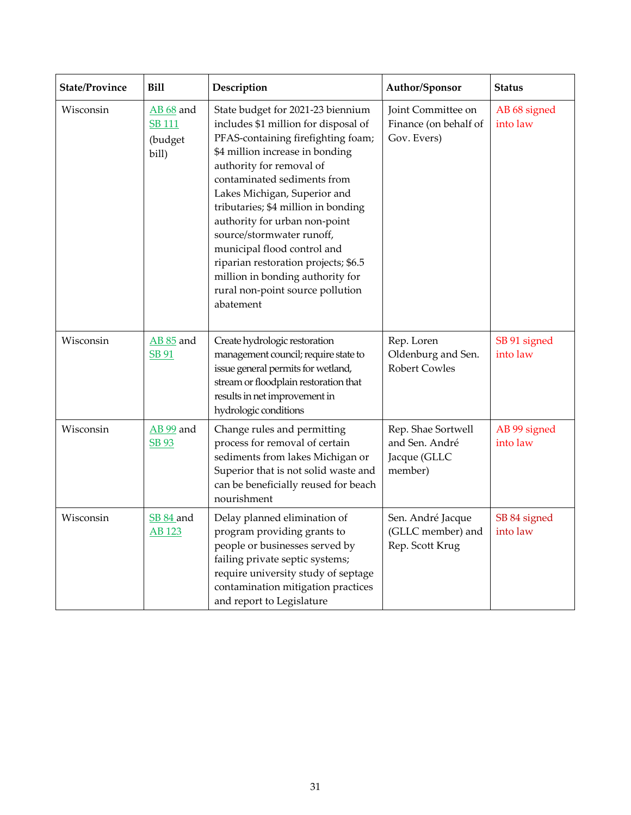| <b>State/Province</b> | <b>Bill</b>                                   | Description                                                                                                                                                                                                                                                                                                                                                                                                                                                                                                    | Author/Sponsor                                                  | <b>Status</b>            |
|-----------------------|-----------------------------------------------|----------------------------------------------------------------------------------------------------------------------------------------------------------------------------------------------------------------------------------------------------------------------------------------------------------------------------------------------------------------------------------------------------------------------------------------------------------------------------------------------------------------|-----------------------------------------------------------------|--------------------------|
| Wisconsin             | AB 68 and<br><b>SB111</b><br>(budget<br>bill) | State budget for 2021-23 biennium<br>includes \$1 million for disposal of<br>PFAS-containing firefighting foam;<br>\$4 million increase in bonding<br>authority for removal of<br>contaminated sediments from<br>Lakes Michigan, Superior and<br>tributaries; \$4 million in bonding<br>authority for urban non-point<br>source/stormwater runoff,<br>municipal flood control and<br>riparian restoration projects; \$6.5<br>million in bonding authority for<br>rural non-point source pollution<br>abatement | Joint Committee on<br>Finance (on behalf of<br>Gov. Evers)      | AB 68 signed<br>into law |
| Wisconsin             | AB 85 and<br>SB 91                            | Create hydrologic restoration<br>management council; require state to<br>issue general permits for wetland,<br>stream or floodplain restoration that<br>results in net improvement in<br>hydrologic conditions                                                                                                                                                                                                                                                                                                 | Rep. Loren<br>Oldenburg and Sen.<br><b>Robert Cowles</b>        | SB 91 signed<br>into law |
| Wisconsin             | <b>AB</b> 99 and<br><b>SB 93</b>              | Change rules and permitting<br>process for removal of certain<br>sediments from lakes Michigan or<br>Superior that is not solid waste and<br>can be beneficially reused for beach<br>nourishment                                                                                                                                                                                                                                                                                                               | Rep. Shae Sortwell<br>and Sen. André<br>Jacque (GLLC<br>member) | AB 99 signed<br>into law |
| Wisconsin             | SB 84 and<br>AB 123                           | Delay planned elimination of<br>program providing grants to<br>people or businesses served by<br>failing private septic systems;<br>require university study of septage<br>contamination mitigation practices<br>and report to Legislature                                                                                                                                                                                                                                                                     | Sen. André Jacque<br>(GLLC member) and<br>Rep. Scott Krug       | SB 84 signed<br>into law |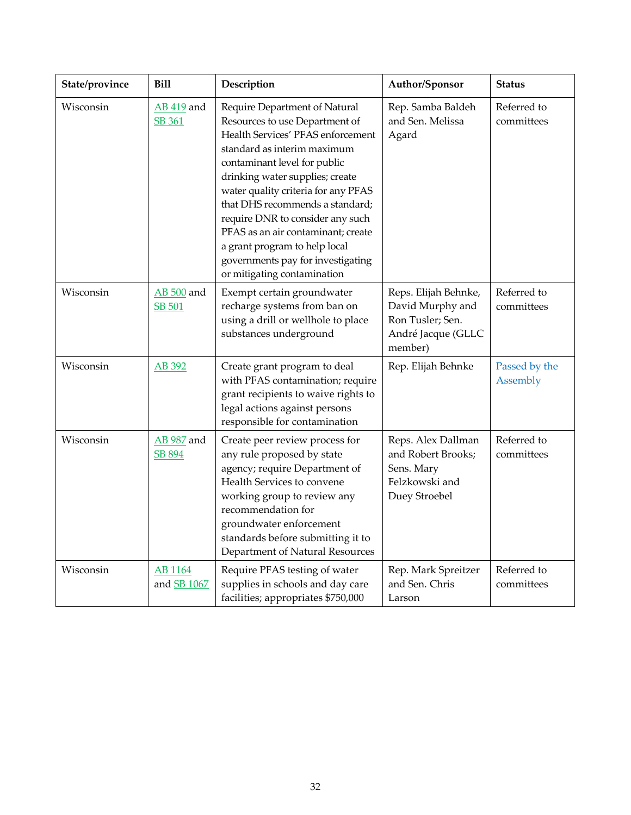| State/province | <b>Bill</b>                        | Description                                                                                                                                                                                                                                                                                                                                                                                                                                                     | Author/Sponsor                                                                                | <b>Status</b>             |
|----------------|------------------------------------|-----------------------------------------------------------------------------------------------------------------------------------------------------------------------------------------------------------------------------------------------------------------------------------------------------------------------------------------------------------------------------------------------------------------------------------------------------------------|-----------------------------------------------------------------------------------------------|---------------------------|
| Wisconsin      | <b>AB 419</b> and<br>SB 361        | Require Department of Natural<br>Resources to use Department of<br>Health Services' PFAS enforcement<br>standard as interim maximum<br>contaminant level for public<br>drinking water supplies; create<br>water quality criteria for any PFAS<br>that DHS recommends a standard;<br>require DNR to consider any such<br>PFAS as an air contaminant; create<br>a grant program to help local<br>governments pay for investigating<br>or mitigating contamination | Rep. Samba Baldeh<br>and Sen. Melissa<br>Agard                                                | Referred to<br>committees |
| Wisconsin      | <b>AB</b> 500 and<br><b>SB 501</b> | Exempt certain groundwater<br>recharge systems from ban on<br>using a drill or wellhole to place<br>substances underground                                                                                                                                                                                                                                                                                                                                      | Reps. Elijah Behnke,<br>David Murphy and<br>Ron Tusler; Sen.<br>André Jacque (GLLC<br>member) | Referred to<br>committees |
| Wisconsin      | AB 392                             | Create grant program to deal<br>with PFAS contamination; require<br>grant recipients to waive rights to<br>legal actions against persons<br>responsible for contamination                                                                                                                                                                                                                                                                                       | Rep. Elijah Behnke                                                                            | Passed by the<br>Assembly |
| Wisconsin      | AB 987 and<br>SB 894               | Create peer review process for<br>any rule proposed by state<br>agency; require Department of<br>Health Services to convene<br>working group to review any<br>recommendation for<br>groundwater enforcement<br>standards before submitting it to<br>Department of Natural Resources                                                                                                                                                                             | Reps. Alex Dallman<br>and Robert Brooks;<br>Sens. Mary<br>Felzkowski and<br>Duey Stroebel     | Referred to<br>committees |
| Wisconsin      | <b>AB</b> 1164<br>and SB 1067      | Require PFAS testing of water<br>supplies in schools and day care<br>facilities; appropriates \$750,000                                                                                                                                                                                                                                                                                                                                                         | Rep. Mark Spreitzer<br>and Sen. Chris<br>Larson                                               | Referred to<br>committees |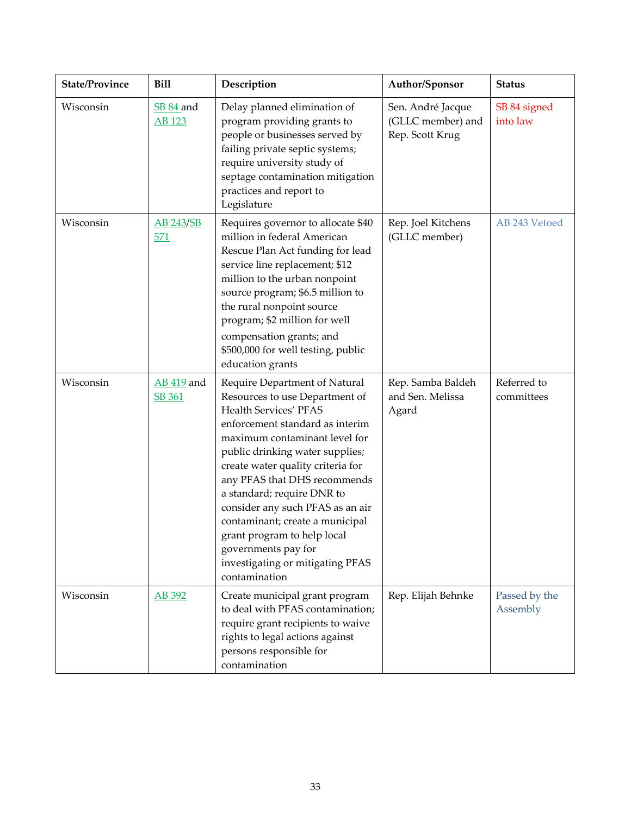| <b>State/Province</b> | <b>Bill</b>                       | Description                                                                                                                                                                                                                                                                                                                                                                                                                                                                          | Author/Sponsor                                            | <b>Status</b>             |
|-----------------------|-----------------------------------|--------------------------------------------------------------------------------------------------------------------------------------------------------------------------------------------------------------------------------------------------------------------------------------------------------------------------------------------------------------------------------------------------------------------------------------------------------------------------------------|-----------------------------------------------------------|---------------------------|
| Wisconsin             | <b>SB 84 and</b><br><b>AB</b> 123 | Delay planned elimination of<br>program providing grants to<br>people or businesses served by<br>failing private septic systems;<br>require university study of<br>septage contamination mitigation<br>practices and report to<br>Legislature                                                                                                                                                                                                                                        | Sen. André Jacque<br>(GLLC member) and<br>Rep. Scott Krug | SB 84 signed<br>into law  |
| Wisconsin             | AB 243/SB<br>571                  | Requires governor to allocate \$40<br>million in federal American<br>Rescue Plan Act funding for lead<br>service line replacement; \$12<br>million to the urban nonpoint<br>source program; \$6.5 million to<br>the rural nonpoint source<br>program; \$2 million for well<br>compensation grants; and<br>\$500,000 for well testing, public<br>education grants                                                                                                                     | Rep. Joel Kitchens<br>(GLLC member)                       | AB 243 Vetoed             |
| Wisconsin             | AB 419 and<br>SB 361              | Require Department of Natural<br>Resources to use Department of<br>Health Services' PFAS<br>enforcement standard as interim<br>maximum contaminant level for<br>public drinking water supplies;<br>create water quality criteria for<br>any PFAS that DHS recommends<br>a standard; require DNR to<br>consider any such PFAS as an air<br>contaminant; create a municipal<br>grant program to help local<br>governments pay for<br>investigating or mitigating PFAS<br>contamination | Rep. Samba Baldeh<br>and Sen. Melissa<br>Agard            | Referred to<br>committees |
| Wisconsin             | AB 392                            | Create municipal grant program<br>to deal with PFAS contamination;<br>require grant recipients to waive<br>rights to legal actions against<br>persons responsible for<br>contamination                                                                                                                                                                                                                                                                                               | Rep. Elijah Behnke                                        | Passed by the<br>Assembly |